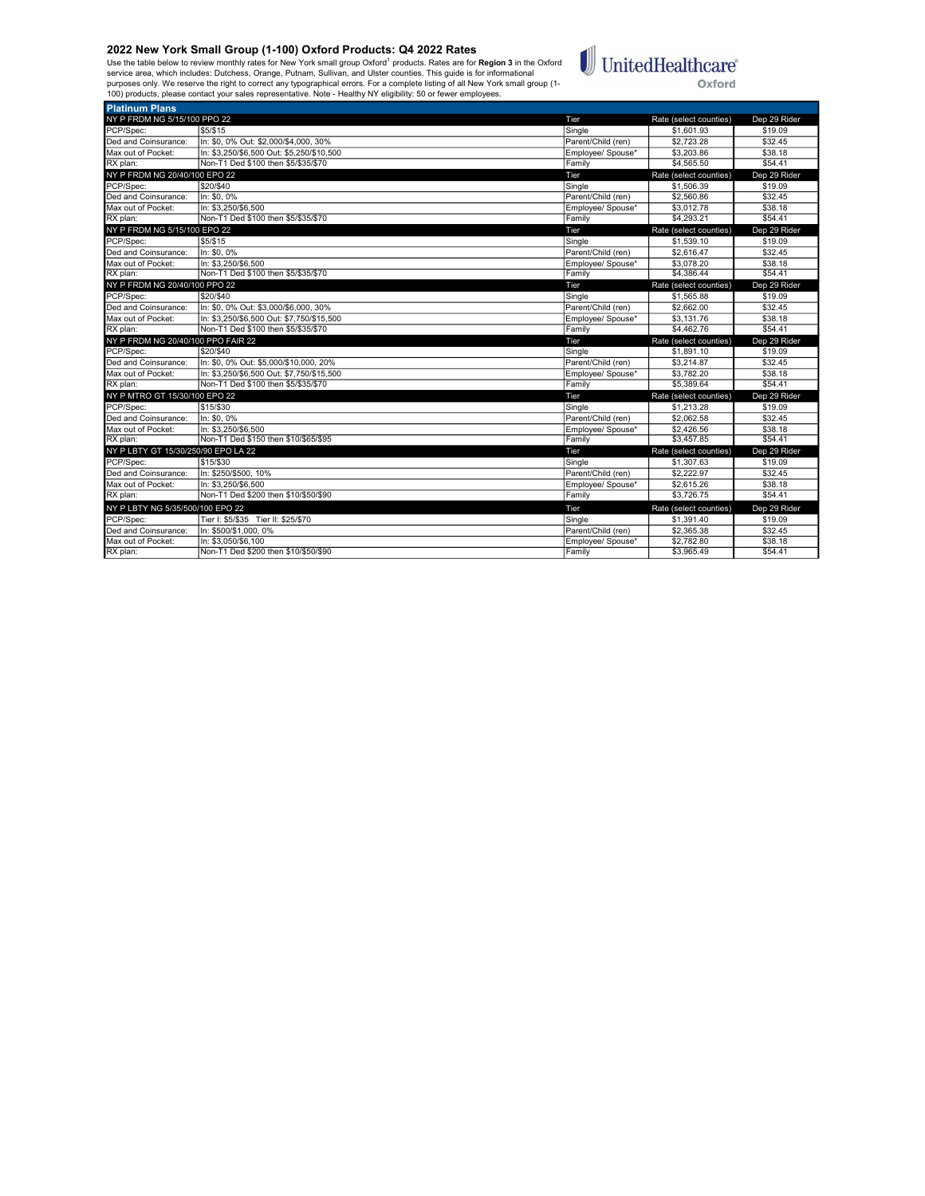Use the table below to review monthly rates for New York small group Oxford<sup>1</sup> products. Rates are for **Region 3** in the Oxford<br>service area, which includes: Dutchess, Orange, Putnam, Sullivan, and Ulster counties. This gu



| <b>Platinum Plans</b>               |                                           |                    |                        |              |
|-------------------------------------|-------------------------------------------|--------------------|------------------------|--------------|
| NY P FRDM NG 5/15/100 PPO 22        |                                           | Tier               | Rate (select counties) | Dep 29 Rider |
| PCP/Spec:                           | \$5/\$15                                  | Single             | \$1,601.93             | \$19.09      |
| Ded and Coinsurance:                | In: \$0, 0% Out: \$2,000/\$4,000, 30%     | Parent/Child (ren) | \$2,723.28             | \$32.45      |
| Max out of Pocket:                  | In: \$3,250/\$6,500 Out: \$5,250/\$10,500 | Employee/ Spouse*  | \$3,203.86             | \$38.18      |
| RX plan:                            | Non-T1 Ded \$100 then \$5/\$35/\$70       | Family             | \$4,565.50             | \$54.41      |
| NY P FRDM NG 20/40/100 EPO 22       |                                           | Tier               | Rate (select counties) | Dep 29 Rider |
| PCP/Spec:                           | \$20/\$40                                 | Single             | \$1,506.39             | \$19.09      |
| Ded and Coinsurance:                | In: \$0, 0%                               | Parent/Child (ren) | \$2,560.86             | \$32.45      |
| Max out of Pocket:                  | In: \$3.250/\$6.500                       | Employee/ Spouse*  | \$3,012.78             | \$38.18      |
| RX plan:                            | Non-T1 Ded \$100 then \$5/\$35/\$70       | Family             | \$4,293.21             | \$54.41      |
| NY P FRDM NG 5/15/100 EPO 22        |                                           | Tier               | Rate (select counties) | Dep 29 Rider |
| PCP/Spec:                           | \$5/\$15                                  | Single             | \$1,539.10             | \$19.09      |
| Ded and Coinsurance:                | In: \$0.0%                                | Parent/Child (ren) | \$2,616.47             | \$32.45      |
| Max out of Pocket:                  | In: \$3.250/\$6.500                       | Employee/ Spouse*  | \$3,078.20             | \$38.18      |
| RX plan:                            | Non-T1 Ded \$100 then \$5/\$35/\$70       | Family             | \$4,386.44             | \$54.41      |
| NY P FRDM NG 20/40/100 PPO 22       |                                           | Tier               | Rate (select counties) | Dep 29 Rider |
| PCP/Spec:                           | \$20/\$40                                 | Single             | \$1,565.88             | \$19.09      |
| Ded and Coinsurance:                | In: \$0, 0% Out: \$3,000/\$6,000, 30%     | Parent/Child (ren) | \$2,662.00             | \$32.45      |
| Max out of Pocket:                  | In: \$3.250/\$6.500 Out: \$7.750/\$15.500 | Employee/ Spouse*  | \$3,131.76             | \$38.18      |
| RX plan:                            | Non-T1 Ded \$100 then \$5/\$35/\$70       | Family             | \$4,462.76             | \$54.41      |
| NY P FRDM NG 20/40/100 PPO FAIR 22  |                                           | Tier               | Rate (select counties) | Dep 29 Rider |
| PCP/Spec:                           | \$20/\$40                                 | Single             | \$1,891.10             | \$19.09      |
|                                     |                                           |                    |                        |              |
| Ded and Coinsurance:                | In: \$0, 0% Out: \$5,000/\$10,000, 20%    | Parent/Child (ren) | \$3,214.87             | \$32.45      |
| Max out of Pocket:                  | In: \$3.250/\$6.500 Out: \$7.750/\$15.500 | Employee/ Spouse*  | \$3,782.20             | \$38.18      |
| RX plan:                            | Non-T1 Ded \$100 then \$5/\$35/\$70       | Family             | \$5,389.64             | \$54.41      |
| NY P MTRO GT 15/30/100 EPO 22       |                                           | Tier               | Rate (select counties) | Dep 29 Rider |
| PCP/Spec:                           | \$15/\$30                                 | Single             | \$1.213.28             | \$19.09      |
| Ded and Coinsurance:                | In: \$0.0%                                | Parent/Child (ren) | \$2.062.58             | \$32.45      |
| Max out of Pocket:                  | In: \$3.250/\$6.500                       | Employee/ Spouse*  | \$2,426.56             | \$38.18      |
| RX plan:                            | Non-T1 Ded \$150 then \$10/\$65/\$95      | Family             | \$3.457.85             | \$54.41      |
| NY P LBTY GT 15/30/250/90 EPO LA 22 |                                           | Tier               | Rate (select counties) | Dep 29 Rider |
| PCP/Spec:                           | \$15/\$30                                 | Single             | \$1,307.63             | \$19.09      |
| Ded and Coinsurance:                | In: \$250/\$500, 10%                      | Parent/Child (ren) | \$2,222.97             | \$32.45      |
| Max out of Pocket:                  | In: \$3.250/\$6.500                       | Employee/ Spouse*  | \$2,615.26             | \$38.18      |
| RX plan:                            | Non-T1 Ded \$200 then \$10/\$50/\$90      | Family             | \$3,726.75             | \$54.41      |
| NY P LBTY NG 5/35/500/100 EPO 22    |                                           | Tier               | Rate (select counties) | Dep 29 Rider |
| PCP/Spec:                           | Tier I: \$5/\$35 Tier II: \$25/\$70       | Single             | \$1,391.40             | \$19.09      |
| Ded and Coinsurance:                | In: \$500/\$1,000, 0%                     | Parent/Child (ren) | \$2,365.38             | \$32.45      |
| Max out of Pocket:                  | In: \$3.050/\$6.100                       | Emplovee/ Spouse*  | \$2,782.80             | \$38.18      |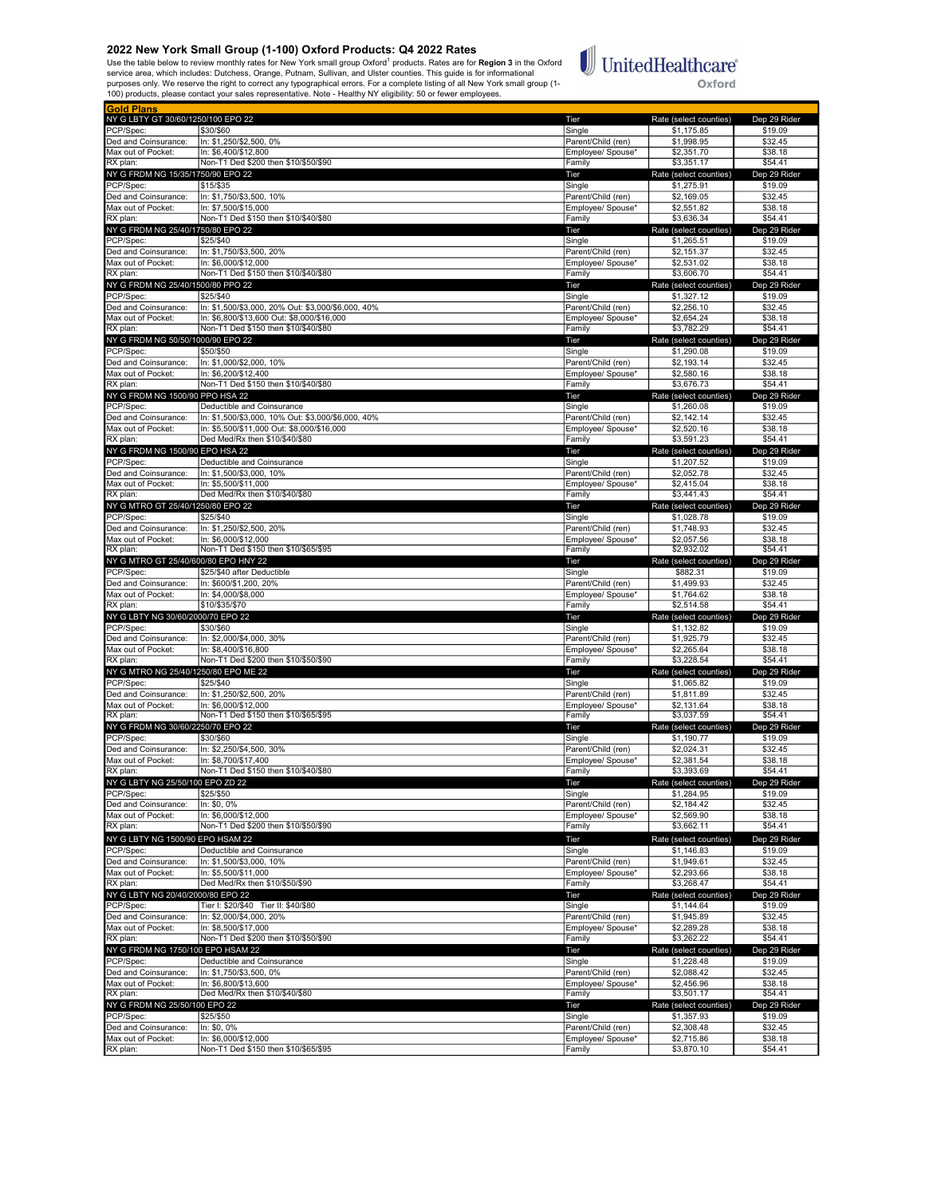Use the table below to review monthly rates for New York small group Oxford<sup>1</sup> products. Rates are for **Region 3** in the Oxford<br>service area, which includes: Dutchess, Orange, Putnam, Sullivan, and Ulster counties. This gu



| <b>Gold Plans</b>                              |                                                                 |                                         |                                      |                         |
|------------------------------------------------|-----------------------------------------------------------------|-----------------------------------------|--------------------------------------|-------------------------|
| NY G LBTY GT 30/60/1250/100 EPO 22             |                                                                 | Tier                                    | Rate (select counties)               | Dep 29 Rider            |
| PCP/Spec:                                      | \$30/\$60                                                       | Single                                  | \$1,175.85                           | \$19.09                 |
| Ded and Coinsurance:                           | In: \$1,250/\$2,500, 0%                                         | Parent/Child (ren)                      | \$1,998.95                           | \$32.45                 |
| Max out of Pocket:                             | In: \$6,400/\$12,800<br>Non-T1 Ded \$200 then \$10/\$50/\$90    | Emplovee/ Spouse*                       | \$2,351.70                           | \$38.18<br>\$54.41      |
| RX plan:                                       |                                                                 | Family                                  | \$3,351.17                           |                         |
| NY G FRDM NG 15/35/1750/90 EPO 22<br>PCP/Spec: | \$15/\$35                                                       | Tier<br>Single                          | Rate (select counties)<br>\$1,275.91 | Dep 29 Rider<br>\$19.09 |
| Ded and Coinsurance:                           | In: \$1,750/\$3,500, 10%                                        | Parent/Child (ren)                      | \$2,169.05                           | \$32.45                 |
| Max out of Pocket:                             | In: \$7,500/\$15,000                                            | Employee/ Spouse*                       | \$2,551.82                           | \$38.18                 |
| RX plan:                                       | Non-T1 Ded \$150 then \$10/\$40/\$80                            | Family                                  | \$3,636.34                           | \$54.41                 |
| NY G FRDM NG 25/40/1750/80 EPO 22              |                                                                 | Tier                                    | Rate (select counties)               | Dep 29 Rider            |
| PCP/Spec:                                      | \$25/\$40                                                       | Single                                  | \$1,265.51                           | \$19.09                 |
| Ded and Coinsurance:                           | In: \$1,750/\$3,500, 20%                                        | Parent/Child (ren)                      | \$2,151.37                           | \$32.45                 |
| Max out of Pocket:                             | In: \$6,000/\$12,000                                            | Employee/ Spouse*                       | \$2,531.02                           | \$38.18                 |
| RX plan:                                       | Non-T1 Ded \$150 then \$10/\$40/\$80                            | Family                                  | \$3,606.70                           | \$54.41                 |
| NY G FRDM NG 25/40/1500/80 PPO 22              |                                                                 | Tier                                    | Rate (select counties)               | Dep 29 Rider            |
| PCP/Spec:                                      | \$25/\$40<br>In: \$1,500/\$3,000, 20% Out: \$3,000/\$6,000, 40% | Single                                  | \$1,327.12                           | \$19.09                 |
| Ded and Coinsurance:<br>Max out of Pocket:     | In: \$6,800/\$13,600 Out: \$8,000/\$16,000                      | Parent/Child (ren)<br>Employee/ Spouse* | \$2,256.10<br>\$2.654.24             | \$32.45<br>\$38.18      |
| RX plan:                                       | Non-T1 Ded \$150 then \$10/\$40/\$80                            | Family                                  | \$3,782.29                           | \$54.41                 |
| NY G FRDM NG 50/50/1000/90 EPO 22              |                                                                 | Tier                                    | Rate (select counties)               | Dep 29 Rider            |
| PCP/Spec:                                      | \$50/\$50                                                       | Single                                  | \$1,290.08                           | \$19.09                 |
| Ded and Coinsurance:                           | In: \$1,000/\$2,000, 10%                                        | Parent/Child (ren)                      | \$2,193.14                           | \$32.45                 |
| Max out of Pocket:                             | In: \$6,200/\$12,400                                            | Employee/ Spouse*                       | \$2,580.16                           | \$38.18                 |
| RX plan:                                       | Non-T1 Ded \$150 then \$10/\$40/\$80                            | Family                                  | \$3,676.73                           | \$54.41                 |
| NY G FRDM NG 1500/90 PPO HSA 22                |                                                                 | Tier                                    | Rate (select counties)               | Dep 29 Rider            |
| PCP/Spec:                                      | Deductible and Coinsurance                                      | Single                                  | \$1,260.08                           | \$19.09                 |
| Ded and Coinsurance:                           | In: \$1.500/\$3.000. 10% Out: \$3.000/\$6.000. 40%              | Parent/Child (ren)                      | \$2,142.14                           | \$32.45                 |
| Max out of Pocket:                             | In: \$5,500/\$11,000 Out: \$8,000/\$16,000                      | Employee/ Spouse*                       | \$2,520.16                           | \$38.18                 |
| RX plan:<br>NY G FRDM NG 1500/90 EPO HSA 22    | Ded Med/Rx then \$10/\$40/\$80                                  | Family                                  | \$3,591.23<br>Rate (select counties) | \$54.41<br>Dep 29 Rider |
| PCP/Spec:                                      | Deductible and Coinsurance                                      | Tier<br>Single                          | \$1,207.52                           | \$19.09                 |
| Ded and Coinsurance:                           | In: \$1,500/\$3,000, 10%                                        | Parent/Child (ren)                      | \$2,052.78                           | \$32.45                 |
| Max out of Pocket:                             | In: \$5,500/\$11,000                                            | Employee/ Spouse*                       | \$2.415.04                           | \$38.18                 |
| RX plan:                                       | Ded Med/Rx then \$10/\$40/\$80                                  | Family                                  | \$3,441.43                           | \$54.41                 |
| NY G MTRO GT 25/40/1250/80 EPO 22              |                                                                 | Tier                                    | Rate (select counties)               | Dep 29 Rider            |
| PCP/Spec:                                      | \$25/\$40                                                       | Single                                  | \$1,028.78                           | \$19.09                 |
| Ded and Coinsurance:                           | In: \$1,250/\$2,500, 20%                                        | Parent/Child (ren)                      | \$1,748.93                           | \$32.45                 |
| Max out of Pocket:                             | In: \$6.000/\$12.000                                            | Employee/ Spouse*                       | \$2,057.56                           | \$38.18                 |
| RX plan:                                       | Non-T1 Ded \$150 then \$10/\$65/\$95                            | Family                                  | \$2,932.02                           | \$54.41                 |
| NY G MTRO GT 25/40/600/80 EPO HNY 22           |                                                                 | Tier                                    | Rate (select counties)               | Dep 29 Rider            |
| PCP/Spec:<br>Ded and Coinsurance:              | \$25/\$40 after Deductible<br>In: \$600/\$1,200, 20%            | Single<br>Parent/Child (ren)            | \$882.31<br>\$1,499.93               | \$19.09<br>\$32.45      |
| Max out of Pocket:                             | In: \$4,000/\$8,000                                             | Employee/ Spouse*                       | \$1,764.62                           | \$38.18                 |
| RX plan:                                       | \$10/\$35/\$70                                                  | Family                                  | \$2,514.58                           | \$54.41                 |
| NY G LBTY NG 30/60/2000/70 EPO 22              |                                                                 | Tier                                    | Rate (select counties)               | Dep 29 Rider            |
| PCP/Spec:                                      | \$30/\$60                                                       | Single                                  | \$1,132.82                           | \$19.09                 |
| Ded and Coinsurance:                           | In: \$2,000/\$4,000, 30%                                        | Parent/Child (ren)                      | \$1,925.79                           | \$32.45                 |
| Max out of Pocket:                             | In: \$8,400/\$16,800                                            | Employee/ Spouse*                       | \$2,265.64                           | \$38.18                 |
| RX plan:                                       | Non-T1 Ded \$200 then \$10/\$50/\$90                            | Family                                  | \$3,228.54                           | \$54.41                 |
| NY G MTRO NG 25/40/1250/80 EPO ME 22           |                                                                 | Tier                                    | Rate (select counties)               | Dep 29 Rider            |
| PCP/Spec:                                      | \$25/\$40                                                       | Single                                  | \$1,065.82                           | \$19.09                 |
| Ded and Coinsurance:<br>Max out of Pocket:     | In: \$1,250/\$2,500, 20%<br>In: \$6,000/\$12,000                | Parent/Child (ren)<br>Emplovee/ Spouse* | \$1,811.89<br>\$2.131.64             | \$32.45<br>\$38.18      |
| RX plan:                                       | Non-T1 Ded \$150 then \$10/\$65/\$95                            | Family                                  | \$3.037.59                           | \$54.41                 |
| NY G FRDM NG 30/60/2250/70 EPO 22              |                                                                 | Tier                                    | Rate (select counties)               | Dep 29 Rider            |
| PCP/Spec:                                      | \$30/\$60                                                       | Single                                  | \$1,190.77                           | \$19.09                 |
| Ded and Coinsurance:                           | In: \$2,250/\$4,500, 30%                                        | Parent/Child (ren)                      | \$2,024.31                           | \$32.45                 |
| Max out of Pocket:                             | In: \$8.700/\$17.400                                            | Employee/ Spouse*                       | \$2,381.54                           | \$38.18                 |
| RX plan:                                       | Non-T1 Ded \$150 then \$10/\$40/\$80                            | Family                                  | \$3,393.69                           | \$54.41                 |
| NY G LBTY<br>וטכוכג טוו                        | IUU EPU ZD ZZ                                                   | <u>rer</u>                              | ≺ate (seiect counties                | peb sa kige             |
| PCP/Spec:                                      | \$25/\$50                                                       | Single                                  | \$1,284.95                           | \$19.09                 |
| Ded and Coinsurance:                           | In: \$0, 0%                                                     | Parent/Child (ren)                      | \$2,184.42                           | \$32.45                 |
| Max out of Pocket:<br>RX plan:                 | In: \$6,000/\$12,000<br>Non-T1 Ded \$200 then \$10/\$50/\$90    | Employee/ Spouse*<br>Family             | \$2,569.90<br>\$3,662.11             | \$38.18<br>\$54.41      |
| NY G LBTY NG 1500/90 EPO HSAM 22               |                                                                 |                                         |                                      |                         |
| PCP/Spec:                                      | Deductible and Coinsurance                                      | Tier<br>Single                          | Rate (select counties)<br>\$1,146.83 | Dep 29 Rider<br>\$19.09 |
| Ded and Coinsurance:                           | In: \$1,500/\$3,000, 10%                                        | Parent/Child (ren)                      | \$1,949.61                           | \$32.45                 |
| Max out of Pocket:                             | In: \$5,500/\$11,000                                            | Emplovee/ Spouse*                       | \$2,293.66                           | \$38.18                 |
| RX plan:                                       | Ded Med/Rx then \$10/\$50/\$90                                  | Family                                  | \$3,268.47                           | \$54.41                 |
| NY G LBTY NG 20/40/2000/80 EPO 22              |                                                                 | Tier                                    | Rate (select counties)               | Dep 29 Rider            |
| PCP/Spec:                                      | Tier I: \$20/\$40 Tier II: \$40/\$80                            | Single                                  | \$1,144.64                           | \$19.09                 |
| Ded and Coinsurance:                           | In: \$2,000/\$4,000, 20%                                        | Parent/Child (ren)                      | \$1,945.89                           | \$32.45                 |
| Max out of Pocket:                             | In: \$8,500/\$17,000                                            | Employee/ Spouse*                       | \$2,289.28                           | \$38.18                 |
| RX plan:                                       | Non-T1 Ded \$200 then \$10/\$50/\$90                            | Family                                  | \$3,262.22                           | \$54.41                 |
| NY G FRDM NG 1750/100 EPO HSAM 22              |                                                                 | Tier                                    | Rate (select counties)               | Dep 29 Rider            |
| PCP/Spec:<br>Ded and Coinsurance:              | Deductible and Coinsurance<br>In: \$1,750/\$3,500, 0%           | Single<br>Parent/Child (ren)            | \$1,228.48<br>\$2,088.42             | \$19.09<br>\$32.45      |
| Max out of Pocket:                             | In: \$6,800/\$13,600                                            | Employee/ Spouse*                       | \$2,456.96                           | \$38.18                 |
| RX plan:                                       | Ded Med/Rx then \$10/\$40/\$80                                  | Family                                  | \$3,501.17                           | \$54.41                 |
| NY G FRDM NG 25/50/100 EPO 22                  |                                                                 | Tier                                    | Rate (select counties)               | Dep 29 Rider            |
| PCP/Spec:                                      | \$25/\$50                                                       | Single                                  | \$1,357.93                           | \$19.09                 |
| Ded and Coinsurance:                           | In: \$0, 0%                                                     | Parent/Child (ren)                      | \$2,308.48                           | \$32.45                 |
| Max out of Pocket:                             | In: \$6,000/\$12,000                                            | Employee/ Spouse*                       | \$2,715.86                           | \$38.18                 |
| RX plan:                                       | Non-T1 Ded \$150 then \$10/\$65/\$95                            | Family                                  | \$3,870.10                           | \$54.41                 |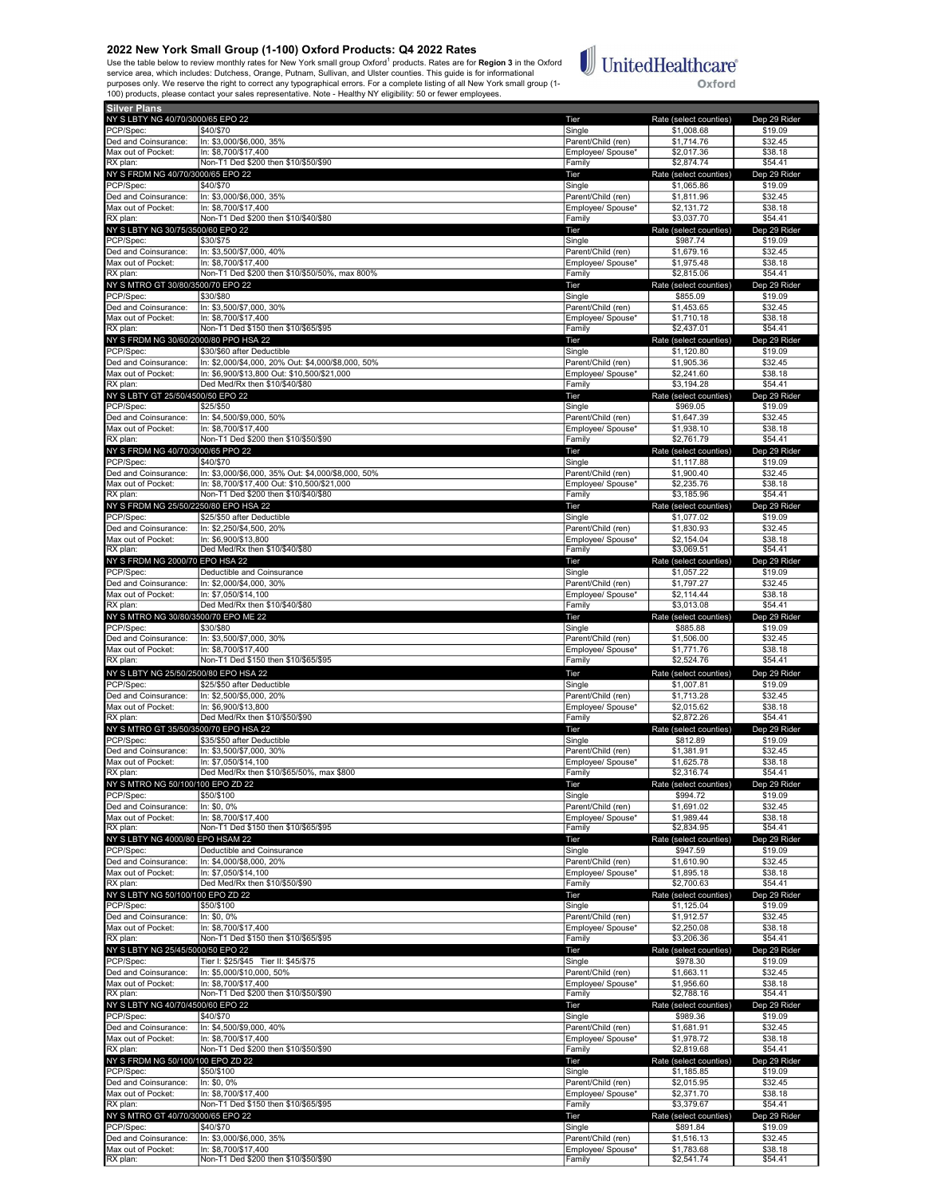Use the table below to review monthly rates for New York small group Oxford<sup>1</sup> products. Rates are for **Region 3** in the Oxford<br>service area, which includes: Dutchess, Orange, Putnam, Sullivan, and Ulster counties. This gu



| <b>Silver Plans</b>                   |                                                    |                    |                        |                    |
|---------------------------------------|----------------------------------------------------|--------------------|------------------------|--------------------|
| NY S LBTY NG 40/70/3000/65 EPO 22     |                                                    | Tier               | Rate (select counties) | Dep 29 Rider       |
| PCP/Spec:                             | \$40/\$70                                          | Single             | \$1,008.68             | \$19.09            |
| Ded and Coinsurance:                  | In: \$3,000/\$6,000, 35%                           | Parent/Child (ren) | \$1,714.76             | \$32.45            |
| Max out of Pocket:                    | In: \$8,700/\$17,400                               | Employee/ Spouse*  | \$2,017.36             | \$38.18            |
| RX plan:                              | Non-T1 Ded \$200 then \$10/\$50/\$90               | Family             | \$2,874.74             | \$54.41            |
| NY S FRDM NG 40/70/3000/65 EPO 22     |                                                    | Tier               | Rate (select counties) | Dep 29 Rider       |
| PCP/Spec:                             | \$40/\$70                                          | Single             | \$1,065.86             | \$19.09            |
| Ded and Coinsurance:                  | In: \$3,000/\$6,000, 35%                           | Parent/Child (ren) | \$1,811.96             | \$32.45            |
| Max out of Pocket:                    | In: \$8.700/\$17.400                               | Employee/ Spouse*  | \$2,131.72             | \$38.18            |
| RX plan:                              | Non-T1 Ded \$200 then \$10/\$40/\$80               | Family             | \$3,037.70             | \$54.41            |
| NY S LBTY NG 30/75/3500/60 EPO 22     |                                                    | Tier               | Rate (select counties) | Dep 29 Rider       |
|                                       |                                                    |                    |                        |                    |
| PCP/Spec:                             | \$30/\$75                                          | Single             | \$987.74               | \$19.09            |
| Ded and Coinsurance:                  | In: \$3,500/\$7,000, 40%                           | Parent/Child (ren) | \$1,679.16             | \$32.45            |
| Max out of Pocket:                    | In: \$8,700/\$17,400                               | Employee/ Spouse*  | \$1,975.48             | \$38.18            |
| RX plan:                              | Non-T1 Ded \$200 then \$10/\$50/50%, max 800%      | Family             | \$2,815.06             | \$54.41            |
| NY S MTRO GT 30/80/3500/70 EPO 22     |                                                    | Tier               | Rate (select counties) | Dep 29 Rider       |
| PCP/Spec:                             | \$30/\$80                                          | Single             | \$855.09               | \$19.09            |
| Ded and Coinsurance:                  | In: \$3,500/\$7,000, 30%                           | Parent/Child (ren) | \$1,453.65             | \$32.45            |
| Max out of Pocket:                    | In: \$8,700/\$17,400                               | Employee/ Spouse*  | \$1,710.18             | \$38.18            |
| RX plan:                              | Non-T1 Ded \$150 then \$10/\$65/\$95               | Family             | \$2,437.01             | \$54.41            |
| NY S FRDM NG 30/60/2000/80 PPO HSA 22 |                                                    | Tier               | Rate (select counties) | Dep 29 Rider       |
| PCP/Spec:                             | \$30/\$60 after Deductible                         | Single             | \$1,120.80             | \$19.09            |
| Ded and Coinsurance:                  | In: \$2,000/\$4,000, 20% Out: \$4,000/\$8,000, 50% | Parent/Child (ren) | \$1,905.36             | \$32.45            |
| Max out of Pocket:                    | In: \$6,900/\$13,800 Out: \$10,500/\$21,000        | Employee/ Spouse*  | \$2,241.60             | \$38.18            |
| RX plan:                              | Ded Med/Rx then \$10/\$40/\$80                     | Family             | \$3,194.28             | \$54.41            |
| NY S LBTY GT 25/50/4500/50 EPO 22     |                                                    | Tier               | Rate (select counties) | Dep 29 Rider       |
| PCP/Spec:                             | \$25/\$50                                          | Single             | \$969.05               | \$19.09            |
| Ded and Coinsurance:                  | In: \$4,500/\$9,000, 50%                           | Parent/Child (ren) | \$1,647.39             | \$32.45            |
|                                       |                                                    |                    |                        |                    |
| Max out of Pocket:                    | In: \$8,700/\$17,400                               | Employee/ Spouse*  | \$1,938.10             | \$38.18<br>\$54.41 |
| RX plan:                              | Non-T1 Ded \$200 then \$10/\$50/\$90               | Family             | \$2,761.79             |                    |
| NY S FRDM NG 40/70/3000/65 PPO 22     |                                                    | Tier               | Rate (select counties) | Dep 29 Rider       |
| PCP/Spec:                             | \$40/\$70                                          | Single             | \$1,117.88             | \$19.09            |
| Ded and Coinsurance:                  | In: \$3,000/\$6,000, 35% Out: \$4,000/\$8,000, 50% | Parent/Child (ren) | \$1,900.40             | \$32.45            |
| Max out of Pocket:                    | In: \$8.700/\$17.400 Out: \$10.500/\$21.000        | Employee/ Spouse*  | \$2,235.76             | \$38.18            |
| RX plan:                              | Non-T1 Ded \$200 then \$10/\$40/\$80               | Family             | \$3,185.96             | \$54.41            |
| NY S FRDM NG 25/50/2250/80 EPO HSA 22 |                                                    | Tier               | Rate (select counties) | Dep 29 Rider       |
| PCP/Spec:                             | \$25/\$50 after Deductible                         | Single             | \$1,077.02             | \$19.09            |
| Ded and Coinsurance:                  | In: \$2,250/\$4,500, 20%                           | Parent/Child (ren) | \$1,830.93             | \$32.45            |
| Max out of Pocket:                    | In: \$6,900/\$13,800                               | Employee/ Spouse*  | \$2.154.04             | \$38.18            |
| RX plan:                              | Ded Med/Rx then \$10/\$40/\$80                     | Family             | \$3,069.51             | \$54.41            |
| NY S FRDM NG 2000/70 EPO HSA 22       |                                                    | Tier               | Rate (select counties) | Dep 29 Rider       |
| PCP/Spec:                             |                                                    |                    |                        |                    |
|                                       | Deductible and Coinsurance                         | Single             | \$1,057.22             | \$19.09            |
| Ded and Coinsurance:                  | In: \$2,000/\$4,000, 30%                           | Parent/Child (ren) | \$1,797.27             | \$32.45            |
| Max out of Pocket:                    | In: \$7,050/\$14,100                               | Employee/ Spouse*  | \$2,114.44             | \$38.18            |
| RX plan:                              | Ded Med/Rx then \$10/\$40/\$80                     | Family             | \$3,013.08             | \$54.41            |
| NY S MTRO NG 30/80/3500/70 EPO ME 22  |                                                    | Tier               | Rate (select counties) | Dep 29 Rider       |
| PCP/Spec:                             | \$30/\$80                                          | Single             | \$885.88               | \$19.09            |
| Ded and Coinsurance:                  | In: \$3,500/\$7,000, 30%                           | Parent/Child (ren) | \$1,506.00             | \$32.45            |
| Max out of Pocket:                    | In: \$8,700/\$17,400                               | Employee/ Spouse*  | \$1,771.76             | \$38.18            |
| RX plan:                              | Non-T1 Ded \$150 then \$10/\$65/\$95               | Family             | \$2,524.76             | \$54.41            |
| NY S LBTY NG 25/50/2500/80 EPO HSA 22 |                                                    | Tier               | Rate (select counties) | Dep 29 Rider       |
| PCP/Spec:                             | \$25/\$50 after Deductible                         | Single             | \$1,007.81             | \$19.09            |
| Ded and Coinsurance:                  | In: \$2,500/\$5,000, 20%                           | Parent/Child (ren) | \$1,713.28             | \$32.45            |
| Max out of Pocket:                    | In: \$6,900/\$13,800                               | Employee/ Spouse*  | \$2,015.62             | \$38.18            |
| RX plan:                              | Ded Med/Rx then \$10/\$50/\$90                     | Family             | \$2,872.26             | \$54.41            |
|                                       |                                                    |                    | Rate (select counties) |                    |
| NY S MTRO GT 35/50/3500/70 EPO HSA 22 |                                                    | Tier               |                        | Dep 29 Rider       |
| PCP/Spec:                             | \$35/\$50 after Deductible                         | Single             | \$812.89               | \$19.09            |
| Ded and Coinsurance:                  | In: \$3,500/\$7,000, 30%                           | Parent/Child (ren) | \$1,381.91             | \$32.45            |
| Max out of Pocket:                    | In: \$7,050/\$14,100                               | Employee/ Spouse*  | \$1,625.78             | \$38.18            |
| RX plan:                              | Ded Med/Rx then \$10/\$65/50%, max \$800           | Family             | \$2,316.74             | \$54.41            |
| NY S MTRO NG 50/100/100 EPO ZD 22     |                                                    | l ler              | ≺ate (select counties) | Dep 29 Ride        |
| PCP/Spec:                             | \$50/\$100                                         | Single             | \$994.72               | \$19.09            |
| Ded and Coinsurance:                  | In: \$0, 0%                                        | Parent/Child (ren) | \$1,691.02             | \$32.45            |
| Max out of Pocket:                    | In: \$8,700/\$17,400                               | Emplovee/ Spouse*  | \$1,989.44             | \$38.18            |
| RX plan:                              | Non-T1 Ded \$150 then \$10/\$65/\$95               | Family             | \$2,834.95             | \$54.41            |
| NY S LBTY NG 4000/80 EPO HSAM 22      |                                                    | Tier               | Rate (select counties) | Dep 29 Rider       |
| PCP/Spec:                             | Deductible and Coinsurance                         | Single             | \$947.59               | \$19.09            |
| Ded and Coinsurance:                  | In: \$4,000/\$8,000, 20%                           | Parent/Child (ren) | \$1,610.90             | \$32.45            |
| Max out of Pocket:                    | In: \$7,050/\$14,100                               | Employee/ Spouse*  | \$1,895.18             | \$38.18            |
| RX plan:                              | Ded Med/Rx then \$10/\$50/\$90                     | Family             | \$2,700.63             | \$54.41            |
| NY S LBTY NG 50/100/100 EPO ZD 22     |                                                    | Tier               | Rate (select counties) | Dep 29 Rider       |
| PCP/Spec:                             | \$50/\$100                                         | Single             | \$1,125.04             | \$19.09            |
| Ded and Coinsurance:                  | In: \$0, 0%                                        | Parent/Child (ren) | \$1,912.57             | \$32.45            |
| Max out of Pocket:                    | In: \$8,700/\$17,400                               | Employee/ Spouse*  | \$2,250.08             | \$38.18            |
|                                       | Non-T1 Ded \$150 then \$10/\$65/\$95               |                    | \$3,206.36             | \$54.41            |
| RX plan:                              |                                                    | Family             |                        |                    |
| NY S LBTY NG 25/45/5000/50 EPO 22     |                                                    | Tier               | Rate (select counties) | Dep 29 Rider       |
| PCP/Spec:                             | Tier I: \$25/\$45 Tier II: \$45/\$75               | Single             | \$978.30               | \$19.09            |
| Ded and Coinsurance:                  | In: \$5,000/\$10,000, 50%                          | Parent/Child (ren) | \$1,663.11             | \$32.45            |
| Max out of Pocket:                    | In: \$8.700/\$17.400                               | Employee/ Spouse*  | \$1,956.60             | \$38.18            |
| RX plan:                              | Non-T1 Ded \$200 then \$10/\$50/\$90               | Family             | \$2,788.16             | \$54.41            |
| NY S LBTY NG 40/70/4500/60 EPO 22     |                                                    | Tier               | Rate (select counties) | Dep 29 Rider       |
| PCP/Spec:                             | \$40/\$70                                          | Single             | \$989.36               | \$19.09            |
| Ded and Coinsurance:                  | In: \$4,500/\$9,000, 40%                           | Parent/Child (ren) | \$1,681.91             | \$32.45            |
| Max out of Pocket:                    | In: \$8,700/\$17,400                               | Employee/ Spouse*  | \$1,978.72             | \$38.18            |
| RX plan:                              | Non-T1 Ded \$200 then \$10/\$50/\$90               | Family             | \$2,819.68             | \$54.41            |
| NY S FRDM NG 50/100/100 EPO ZD 22     |                                                    | Tier               | Rate (select counties) | Dep 29 Rider       |
|                                       | \$50/\$100                                         |                    |                        |                    |
| PCP/Spec:                             |                                                    | Single             | \$1,185.85             | \$19.09            |
| Ded and Coinsurance:                  | In: \$0, 0%                                        | Parent/Child (ren) | \$2,015.95             | \$32.45            |
| Max out of Pocket:                    | In: \$8,700/\$17,400                               | Employee/ Spouse*  | \$2,371.70             | \$38.18            |
| RX plan:                              | Non-T1 Ded \$150 then \$10/\$65/\$95               | Family             | \$3,379.67             | \$54.41            |
|                                       |                                                    |                    |                        |                    |
| NY S MTRO GT 40/70/3000/65 EPO 22     |                                                    | Tier               | Rate (select counties) | Dep 29 Rider       |
| PCP/Spec:                             | \$40/\$70                                          | Single             | \$891.84               | \$19.09            |
| Ded and Coinsurance:                  | In: \$3,000/\$6,000, 35%                           | Parent/Child (ren) | \$1,516.13             | \$32.45            |

er and the state of the state of the state of the state of the state of the state of the state of the state of<br>RX plan: The state of the state of the state of the state of the state of the state of the state of the state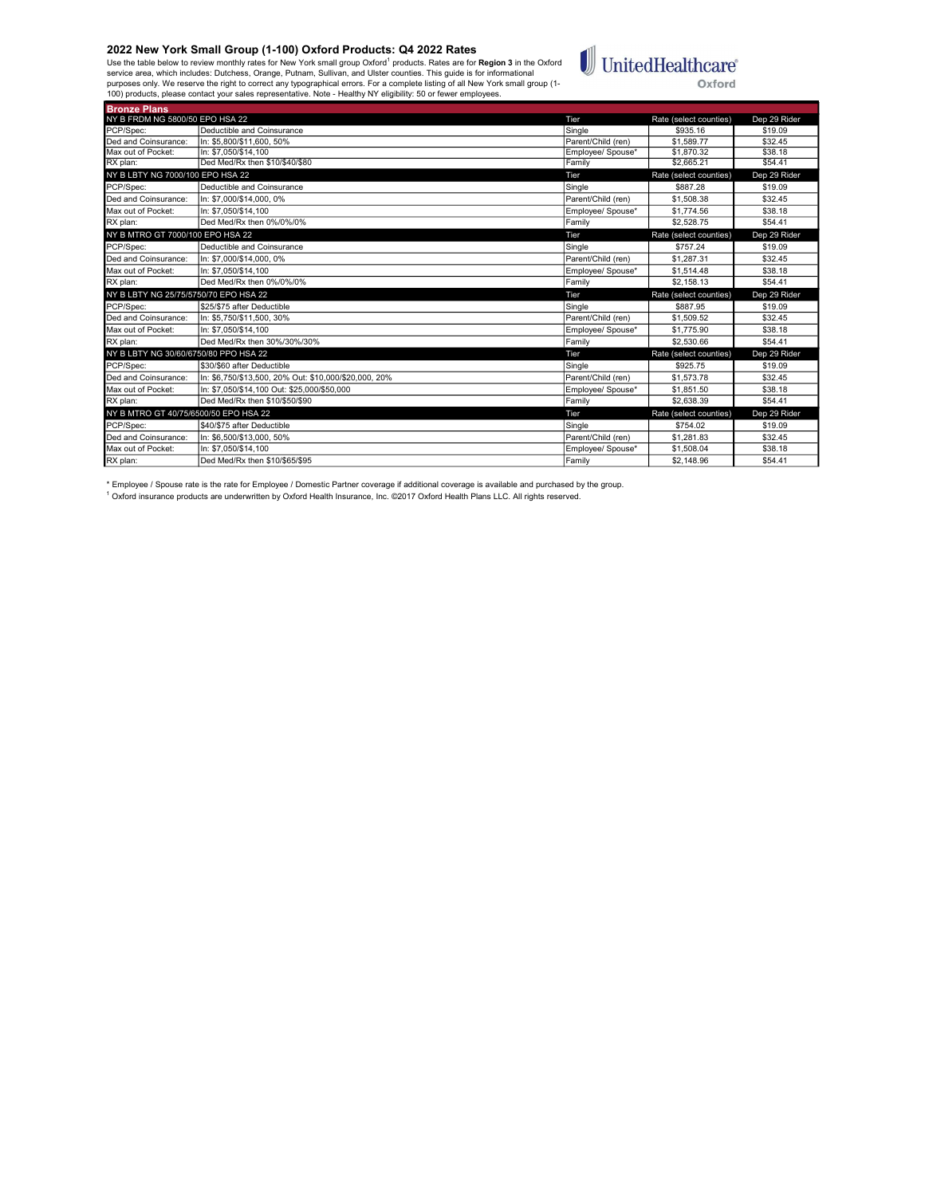Bronze Plans

Use the table below to review monthly rates for New York small group Oxford<sup>1</sup> products. Rates are for **Region 3** in the Oxford<br>service area, which includes: Dutchess, Orange, Putnam, Sullivan, and Ulster counties. This gu



| NY B FRDM NG 5800/50 EPO HSA 22       |                                                       | Tier               | Rate (select counties) | Dep 29 Rider |
|---------------------------------------|-------------------------------------------------------|--------------------|------------------------|--------------|
| PCP/Spec:                             | Deductible and Coinsurance                            | Single             | \$935.16               | \$19.09      |
| Ded and Coinsurance:                  | In: \$5,800/\$11,600, 50%                             | Parent/Child (ren) | \$1,589.77             | \$32.45      |
| Max out of Pocket:                    | In: \$7.050/\$14.100                                  | Employee/ Spouse*  | \$1.870.32             | \$38.18      |
| RX plan:                              | Ded Med/Rx then \$10/\$40/\$80                        | Family             | \$2,665.21             | \$54.41      |
| NY B LBTY NG 7000/100 EPO HSA 22      |                                                       | Tier               | Rate (select counties) | Dep 29 Rider |
| PCP/Spec:                             | Deductible and Coinsurance                            | Single             | \$887.28               | \$19.09      |
| Ded and Coinsurance:                  | In: \$7,000/\$14,000, 0%                              | Parent/Child (ren) | \$1,508.38             | \$32.45      |
| Max out of Pocket:                    | In: \$7.050/\$14.100                                  | Employee/ Spouse*  | \$1,774.56             | \$38.18      |
| RX plan:                              | Ded Med/Rx then 0%/0%/0%                              | Family             | \$2,528.75             | \$54.41      |
| NY B MTRO GT 7000/100 EPO HSA 22      |                                                       | Tier               | Rate (select counties) | Dep 29 Rider |
| PCP/Spec:                             | Deductible and Coinsurance                            | Single             | \$757.24               | \$19.09      |
| Ded and Coinsurance:                  | In: \$7,000/\$14,000, 0%                              | Parent/Child (ren) | \$1,287.31             | \$32.45      |
| Max out of Pocket:                    | In: \$7.050/\$14.100                                  | Emplovee/ Spouse*  | \$1.514.48             | \$38.18      |
| RX plan:                              | Ded Med/Rx then 0%/0%/0%                              | Family             | \$2,158.13             | \$54.41      |
|                                       |                                                       |                    |                        |              |
| NY B LBTY NG 25/75/5750/70 EPO HSA 22 |                                                       | Tier               | Rate (select counties) | Dep 29 Rider |
| PCP/Spec:                             | \$25/\$75 after Deductible                            | Single             | \$887.95               | \$19.09      |
| Ded and Coinsurance:                  | In: \$5,750/\$11,500, 30%                             | Parent/Child (ren) | \$1,509.52             | \$32.45      |
| Max out of Pocket:                    | In: \$7.050/\$14.100                                  | Employee/ Spouse*  | \$1,775.90             | \$38.18      |
| RX plan:                              | Ded Med/Rx then 30%/30%/30%                           | Family             | \$2,530.66             | \$54.41      |
| NY B LBTY NG 30/60/6750/80 PPO HSA 22 |                                                       | Tier               | Rate (select counties) | Dep 29 Rider |
| PCP/Spec:                             | \$30/\$60 after Deductible                            | Single             | \$925.75               | \$19.09      |
| Ded and Coinsurance:                  | In: \$6.750/\$13.500. 20% Out: \$10.000/\$20.000. 20% | Parent/Child (ren) | \$1,573.78             | \$32.45      |
| Max out of Pocket:                    | In: \$7,050/\$14,100 Out: \$25,000/\$50,000           | Employee/ Spouse*  | \$1,851.50             | \$38.18      |
| RX plan:                              | Ded Med/Rx then \$10/\$50/\$90                        | Family             | \$2.638.39             | \$54.41      |
| NY B MTRO GT 40/75/6500/50 EPO HSA 22 |                                                       | Tier               | Rate (select counties) | Dep 29 Rider |
| PCP/Spec:                             | \$40/\$75 after Deductible                            | Single             | \$754.02               | \$19.09      |
| Ded and Coinsurance:                  | In: \$6,500/\$13,000, 50%                             | Parent/Child (ren) | \$1,281.83             | \$32.45      |
| Max out of Pocket:                    | In: \$7.050/\$14.100                                  | Employee/ Spouse*  | \$1,508.04             | \$38.18      |

\* Employee / Spouse rate is the rate for Employee / Domestic Partner coverage if additional coverage is available and purchased by the group.<br><sup>1</sup> Oxford insurance products are underwritten by Oxford Health Insurance, Inc.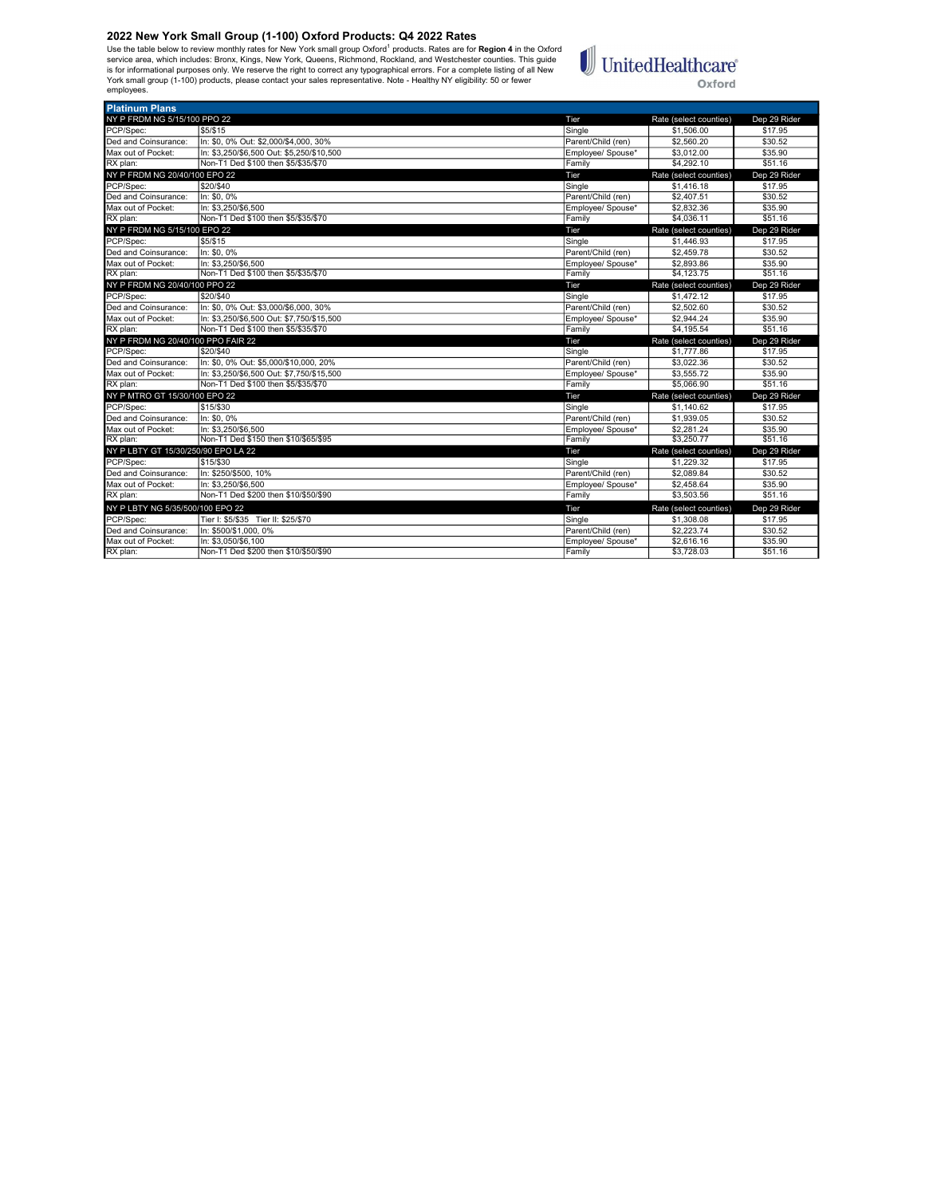Use the table below to review monthly rates for New York small group Oxford<sup>1</sup> products. Rates are for **Region 4** in the Oxford<br>is rorice area, which includes: Bronx, Kings, New York, Queens, Richmond, Rockland, and Westch employees.



| <b>Platinum Plans</b>               |                                                             |                             |                          |                    |
|-------------------------------------|-------------------------------------------------------------|-----------------------------|--------------------------|--------------------|
| NY P FRDM NG 5/15/100 PPO 22        |                                                             | Tier                        | Rate (select counties)   | Dep 29 Rider       |
| PCP/Spec:                           | \$5/\$15                                                    | Single                      | \$1,506.00               | \$17.95            |
| Ded and Coinsurance:                | In: \$0, 0% Out: \$2,000/\$4,000, 30%                       | Parent/Child (ren)          | \$2,560.20               | \$30.52            |
| Max out of Pocket:                  | In: \$3.250/\$6.500 Out: \$5.250/\$10.500                   | Employee/ Spouse*           | \$3,012.00               | \$35.90            |
| RX plan:                            | Non-T1 Ded \$100 then \$5/\$35/\$70                         | Family                      | \$4,292.10               | \$51.16            |
| NY P FRDM NG 20/40/100 EPO 22       |                                                             | Tier                        | Rate (select counties)   | Dep 29 Rider       |
| PCP/Spec:                           | \$20/\$40                                                   | Single                      | \$1,416.18               | \$17.95            |
| Ded and Coinsurance:                | In: \$0, 0%                                                 | Parent/Child (ren)          | \$2,407.51               | \$30.52            |
| Max out of Pocket:                  | In: \$3,250/\$6,500                                         | Employee/ Spouse*           | \$2,832.36               | \$35.90            |
| RX plan:                            | Non-T1 Ded \$100 then \$5/\$35/\$70                         | Family                      | \$4,036.11               | \$51.16            |
| NY P FRDM NG 5/15/100 EPO 22        |                                                             | Tier                        | Rate (select counties)   | Dep 29 Rider       |
| PCP/Spec:                           | \$5/\$15                                                    | Single                      | \$1,446.93               | \$17.95            |
| Ded and Coinsurance:                | In: \$0.0%                                                  | Parent/Child (ren)          | \$2,459.78               | \$30.52            |
| Max out of Pocket:                  | In: \$3,250/\$6,500                                         | Employee/ Spouse*           | \$2,893.86               | \$35.90            |
| RX plan:                            | Non-T1 Ded \$100 then \$5/\$35/\$70                         | Family                      | \$4,123.75               | \$51.16            |
| NY P FRDM NG 20/40/100 PPO 22       |                                                             | Tier                        | Rate (select counties)   | Dep 29 Rider       |
| PCP/Spec:                           | \$20/\$40                                                   | Single                      | \$1,472.12               | \$17.95            |
| Ded and Coinsurance:                | In: \$0, 0% Out: \$3,000/\$6,000, 30%                       | Parent/Child (ren)          | \$2,502.60               | \$30.52            |
| Max out of Pocket:                  | In: \$3.250/\$6.500 Out: \$7.750/\$15.500                   | Employee/ Spouse*           | \$2,944.24               | \$35.90            |
| RX plan:                            | Non-T1 Ded \$100 then \$5/\$35/\$70                         | Family                      | \$4,195.54               | \$51.16            |
|                                     |                                                             |                             |                          |                    |
| NY P FRDM NG 20/40/100 PPO FAIR 22  |                                                             | Tier                        | Rate (select counties)   | Dep 29 Rider       |
| PCP/Spec:                           | \$20/\$40                                                   | Single                      | \$1,777.86               | \$17.95            |
| Ded and Coinsurance:                | In: \$0.0% Out: \$5.000/\$10.000. 20%                       | Parent/Child (ren)          | \$3.022.36               | \$30.52            |
| Max out of Pocket:                  | In: \$3.250/\$6.500 Out: \$7.750/\$15.500                   | Employee/ Spouse*           | \$3.555.72               | \$35.90            |
| RX plan:                            | Non-T1 Ded \$100 then \$5/\$35/\$70                         | Family                      | \$5,066.90               | \$51.16            |
| NY P MTRO GT 15/30/100 EPO 22       |                                                             | Tier                        | Rate (select counties)   | Dep 29 Rider       |
| PCP/Spec:                           | \$15/\$30                                                   | Single                      | \$1,140.62               | \$17.95            |
| Ded and Coinsurance:                | In: \$0.0%                                                  | Parent/Child (ren)          | \$1,939.05               | \$30.52            |
| Max out of Pocket:                  | In: \$3.250/\$6.500                                         | Employee/ Spouse*           | \$2,281.24               | \$35.90            |
| RX plan:                            | Non-T1 Ded \$150 then \$10/\$65/\$95                        | Family                      | \$3,250.77               | \$51.16            |
| NY P LBTY GT 15/30/250/90 EPO LA 22 |                                                             | Tier                        | Rate (select counties)   | Dep 29 Rider       |
| PCP/Spec:                           | \$15/\$30                                                   | Single                      | \$1,229.32               | \$17.95            |
| Ded and Coinsurance:                | In: \$250/\$500, 10%                                        | Parent/Child (ren)          | \$2.089.84               | \$30.52            |
| Max out of Pocket:                  | In: \$3.250/\$6.500                                         | Employee/ Spouse*           | \$2,458.64               | \$35.90            |
| RX plan:                            | Non-T1 Ded \$200 then \$10/\$50/\$90                        | Family                      | \$3,503.56               | \$51.16            |
| NY P LBTY NG 5/35/500/100 EPO 22    |                                                             | Tier                        | Rate (select counties)   | Dep 29 Rider       |
| PCP/Spec:                           | Tier I: \$5/\$35 Tier II: \$25/\$70                         | Single                      | \$1,308.08               | \$17.95            |
| Ded and Coinsurance:                | In: \$500/\$1,000, 0%                                       | Parent/Child (ren)          | \$2,223.74               | \$30.52            |
| Max out of Pocket:<br>RX plan:      | In: \$3.050/\$6.100<br>Non-T1 Ded \$200 then \$10/\$50/\$90 | Employee/ Spouse*<br>Family | \$2,616.16<br>\$3,728.03 | \$35.90<br>\$51.16 |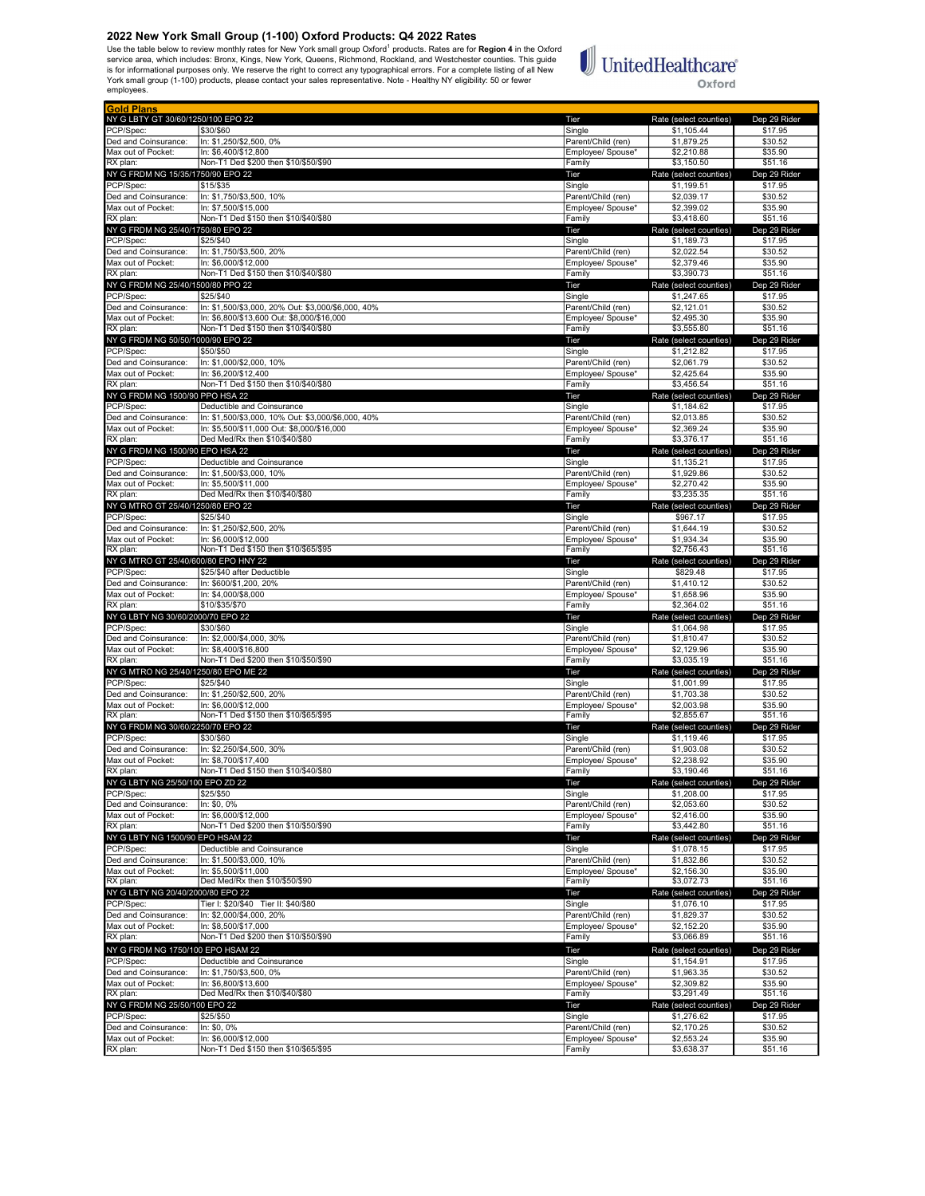Use the table below to review monthly rates for New York small group Oxford<sup>1</sup> products. Rates are for **Region 4** in the Oxford<br>is rorice area, which includes: Bronx, Kings, New York, Queens, Richmond, Rockland, and Westch employees.

# $\mathbb{U}$ United<br>Healthcare® Oxford

| <b>Gold Plans</b>                    |                                                    |                    |                        |              |
|--------------------------------------|----------------------------------------------------|--------------------|------------------------|--------------|
| NY G LBTY GT 30/60/1250/100 EPO 22   |                                                    | Tier               | Rate (select counties) | Dep 29 Rider |
| PCP/Spec:                            | \$30/\$60                                          | Single             | \$1,105.44             | \$17.95      |
| Ded and Coinsurance:                 | In: \$1,250/\$2,500, 0%                            | Parent/Child (ren) | \$1,879.25             | \$30.52      |
| Max out of Pocket:                   | In: \$6,400/\$12,800                               | Employee/ Spouse*  | \$2,210.88             | \$35.90      |
| RX plan:                             | Non-T1 Ded \$200 then \$10/\$50/\$90               | Family             | \$3,150.50             | \$51.16      |
| NY G FRDM NG 15/35/1750/90 EPO 22    |                                                    | Tier               | Rate (select counties) | Dep 29 Rider |
| PCP/Spec:                            | \$15/\$35                                          | Single             | \$1,199.51             | \$17.95      |
| Ded and Coinsurance:                 | In: \$1,750/\$3,500, 10%                           | Parent/Child (ren) | \$2,039.17             | \$30.52      |
|                                      |                                                    |                    |                        |              |
| Max out of Pocket:                   | In: \$7,500/\$15,000                               | Employee/ Spouse*  | \$2,399.02             | \$35.90      |
| RX plan:                             | Non-T1 Ded \$150 then \$10/\$40/\$80               | Family             | \$3,418.60             | \$51.16      |
| NY G FRDM NG 25/40/1750/80 EPO 22    |                                                    | Tier               | Rate (select counties) | Dep 29 Rider |
| PCP/Spec:                            | \$25/\$40                                          | Single             | \$1,189.73             | \$17.95      |
| Ded and Coinsurance:                 | In: \$1,750/\$3,500, 20%                           | Parent/Child (ren) | \$2,022.54             | \$30.52      |
| Max out of Pocket:                   | In: \$6,000/\$12,000                               | Employee/ Spouse*  | \$2,379.46             | \$35.90      |
| RX plan:                             | Non-T1 Ded \$150 then \$10/\$40/\$80               | Family             | \$3,390.73             | \$51.16      |
| NY G FRDM NG 25/40/1500/80 PPO 22    |                                                    | Tier               | Rate (select counties) | Dep 29 Rider |
| PCP/Spec:                            | \$25/\$40                                          | Single             | \$1,247.65             | \$17.95      |
| Ded and Coinsurance:                 | In: \$1,500/\$3,000, 20% Out: \$3,000/\$6,000, 40% |                    |                        |              |
|                                      |                                                    | Parent/Child (ren) | \$2,121.01             | \$30.52      |
| Max out of Pocket:                   | In: \$6,800/\$13,600 Out: \$8,000/\$16,000         | Employee/ Spouse*  | \$2,495.30             | \$35.90      |
| RX plan:                             | Non-T1 Ded \$150 then \$10/\$40/\$80               | Family             | \$3,555.80             | \$51.16      |
| NY G FRDM NG 50/50/1000/90 EPO 22    |                                                    | Tier               | Rate (select counties) | Dep 29 Rider |
| PCP/Spec:                            | \$50/\$50                                          | Single             | \$1,212.82             | \$17.95      |
| Ded and Coinsurance:                 | In: \$1,000/\$2,000, 10%                           | Parent/Child (ren) | \$2,061.79             | \$30.52      |
| Max out of Pocket:                   | In: \$6,200/\$12,400                               | Employee/ Spouse*  | \$2,425.64             | \$35.90      |
| RX plan:                             | Non-T1 Ded \$150 then \$10/\$40/\$80               | Family             | \$3,456.54             | \$51.16      |
|                                      |                                                    |                    |                        |              |
| NY G FRDM NG 1500/90 PPO HSA 22      |                                                    | Tier               | Rate (select counties) | Dep 29 Rider |
| PCP/Spec:                            | Deductible and Coinsurance                         | Single             | \$1,184.62             | \$17.95      |
| Ded and Coinsurance:                 | In: \$1,500/\$3,000, 10% Out: \$3,000/\$6,000, 40% | Parent/Child (ren) | \$2.013.85             | \$30.52      |
| Max out of Pocket:                   | In: \$5,500/\$11,000 Out: \$8,000/\$16,000         | Employee/ Spouse*  | \$2,369.24             | \$35.90      |
| RX plan:                             | Ded Med/Rx then \$10/\$40/\$80                     | Family             | \$3,376.17             | \$51.16      |
| NY G FRDM NG 1500/90 EPO HSA 22      |                                                    | Tier               | Rate (select counties) | Dep 29 Rider |
| PCP/Spec:                            | Deductible and Coinsurance                         | Single             | \$1,135.21             | \$17.95      |
| Ded and Coinsurance:                 | In: \$1,500/\$3,000, 10%                           | Parent/Child (ren) | \$1,929.86             | \$30.52      |
| Max out of Pocket:                   | In: \$5.500/\$11.000                               |                    |                        |              |
|                                      |                                                    | Employee/ Spouse*  | \$2,270.42             | \$35.90      |
| RX plan:                             | Ded Med/Rx then \$10/\$40/\$80                     | Family             | \$3,235.35             | \$51.16      |
| NY G MTRO GT 25/40/1250/80 EPO 22    |                                                    | Tier               | Rate (select counties) | Dep 29 Rider |
| PCP/Spec:                            | \$25/\$40                                          | Single             | \$967.17               | \$17.95      |
| Ded and Coinsurance:                 | In: \$1,250/\$2,500, 20%                           | Parent/Child (ren) | \$1,644.19             | \$30.52      |
| Max out of Pocket:                   | In: \$6,000/\$12,000                               | Employee/ Spouse*  | \$1.934.34             | \$35.90      |
| RX plan:                             | Non-T1 Ded \$150 then \$10/\$65/\$95               | Family             | \$2,756.43             | \$51.16      |
| NY G MTRO GT 25/40/600/80 EPO HNY 22 |                                                    | Tier               | Rate (select counties) | Dep 29 Rider |
| PCP/Spec:                            |                                                    |                    |                        |              |
|                                      | \$25/\$40 after Deductible                         | Single             | \$829.48               | \$17.95      |
| Ded and Coinsurance:                 | In: \$600/\$1,200, 20%                             | Parent/Child (ren) | \$1,410.12             | \$30.52      |
| Max out of Pocket:                   | In: \$4.000/\$8.000                                | Employee/ Spouse*  | \$1,658.96             | \$35.90      |
| RX plan:                             | \$10/\$35/\$70                                     | Family             | \$2,364.02             | \$51.16      |
| NY G LBTY NG 30/60/2000/70 EPO 22    |                                                    | Tier               | Rate (select counties) | Dep 29 Rider |
| PCP/Spec:                            | \$30/\$60                                          | Single             | \$1,064.98             | \$17.95      |
| Ded and Coinsurance:                 | In: \$2,000/\$4,000, 30%                           | Parent/Child (ren) | \$1,810.47             | \$30.52      |
| Max out of Pocket:                   | In: \$8,400/\$16,800                               | Employee/ Spouse*  | \$2,129.96             | \$35.90      |
| RX plan:                             | Non-T1 Ded \$200 then \$10/\$50/\$90               | Family             | \$3,035.19             | \$51.16      |
|                                      |                                                    |                    |                        |              |
| NY G MTRO NG 25/40/1250/80 EPO ME 22 |                                                    | Tier               | Rate (select counties) | Dep 29 Rider |
| PCP/Spec:                            | \$25/\$40                                          | Single             | \$1,001.99             | \$17.95      |
| Ded and Coinsurance:                 | In: \$1,250/\$2,500, 20%                           | Parent/Child (ren) | \$1,703.38             | \$30.52      |
| Max out of Pocket:                   | In: \$6,000/\$12,000                               | Employee/ Spouse*  | \$2,003.98             | \$35.90      |
| RX plan:                             | Non-T1 Ded \$150 then \$10/\$65/\$95               | Family             | \$2,855.67             | \$51.16      |
| NY G FRDM NG 30/60/2250/70 EPO 22    |                                                    | Tier               | Rate (select counties) | Dep 29 Rider |
| PCP/Spec:                            | \$30/\$60                                          | Single             | \$1,119.46             | \$17.95      |
| Ded and Coinsurance:                 | In: \$2,250/\$4,500, 30%                           | Parent/Child (ren) | \$1,903.08             | \$30.52      |
| Max out of Pocket:                   | In: \$8,700/\$17,400                               | Employee/ Spouse*  | \$2,238.92             | \$35.90      |
| RX plan:                             | Non-T1 Ded \$150 then \$10/\$40/\$80               | Family             | \$3,190.46             | \$51.16      |
| NY G LBTY NG 25/50/100 EPO ZD 22     |                                                    |                    |                        |              |
|                                      |                                                    |                    | Rate (select countie   | Dep 29 Ric   |
| PCP/Spec:                            | \$25/\$50                                          | Single             | \$1,208.00             | \$17.95      |
| Ded and Coinsurance:                 | In: \$0, 0%                                        | Parent/Child (ren) | \$2,053.60             | \$30.52      |
| Max out of Pocket:                   | In: \$6,000/\$12,000                               | Employee/ Spouse*  | \$2,416.00             | \$35.90      |
| RX plan:                             | Non-T1 Ded \$200 then \$10/\$50/\$90               | Family             | \$3,442.80             | \$51.16      |
| NY G LBTY NG 1500/90 EPO HSAM 22     |                                                    | Tier               | Rate (select counties) | Dep 29 Rider |
| PCP/Spec:                            | Deductible and Coinsurance                         | Single             | \$1,078.15             | \$17.95      |
| Ded and Coinsurance:                 | In: \$1,500/\$3,000, 10%                           | Parent/Child (ren) | \$1,832.86             | \$30.52      |
|                                      | In: \$5.500/\$11.000                               |                    |                        |              |
| Max out of Pocket:                   | Ded Med/Rx then \$10/\$50/\$90                     | Employee/ Spouse*  | \$2,156.30             | \$35.90      |
| RX plan:                             |                                                    | Family             | \$3,072.73             | \$51.16      |
| NY G LBTY NG 20/40/2000/80 EPO 22    |                                                    | Tier               | Rate (select counties) | Dep 29 Rider |
| PCP/Spec:                            | Tier I: \$20/\$40 Tier II: \$40/\$80               | Single             | \$1,076.10             | \$17.95      |
| Ded and Coinsurance:                 | In: \$2,000/\$4,000, 20%                           | Parent/Child (ren) | \$1,829.37             | \$30.52      |
| Max out of Pocket:                   | In: \$8,500/\$17,000                               | Employee/ Spouse*  | \$2,152.20             | \$35.90      |
| RX plan:                             | Non-T1 Ded \$200 then \$10/\$50/\$90               | Family             | \$3.066.89             | \$51.16      |
|                                      |                                                    |                    |                        |              |
| NY G FRDM NG 1750/100 EPO HSAM 22    |                                                    | Tier               | Rate (select counties) | Dep 29 Rider |
| PCP/Spec:                            | Deductible and Coinsurance                         | Single             | \$1,154.91             | \$17.95      |
| Ded and Coinsurance:                 | In: \$1,750/\$3,500, 0%                            | Parent/Child (ren) | \$1,963.35             | \$30.52      |
| Max out of Pocket:                   | In: \$6,800/\$13,600                               | Employee/ Spouse*  | \$2,309.82             | \$35.90      |
| RX plan:                             | Ded Med/Rx then \$10/\$40/\$80                     | Family             | \$3,291.49             | \$51.16      |
| NY G FRDM NG 25/50/100 EPO 22        |                                                    | Tier               | Rate (select counties) | Dep 29 Rider |
|                                      |                                                    |                    |                        |              |
| PCP/Spec:                            | \$25/\$50                                          | Single             | \$1,276.62             | \$17.95      |
| Ded and Coinsurance:                 | In: \$0, 0%                                        | Parent/Child (ren) | \$2,170.25             | \$30.52      |
| Max out of Pocket:                   | In: \$6,000/\$12,000                               | Employee/ Spouse*  | \$2,553.24             | \$35.90      |
| RX plan:                             | Non-T1 Ded \$150 then \$10/\$65/\$95               | Family             | \$3,638.37             | \$51.16      |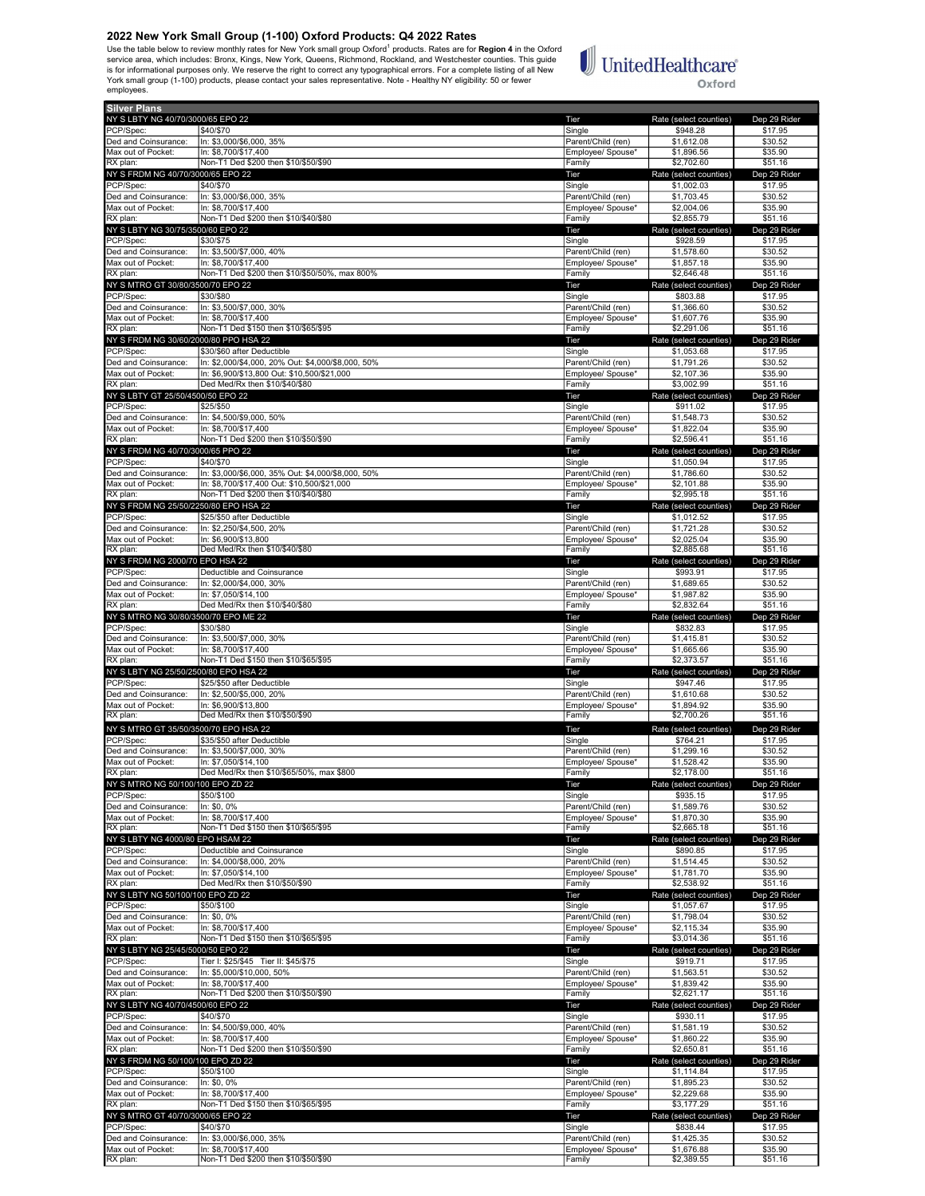Use the table below to review monthly rates for New York small group Oxford<sup>1</sup> products. Rates are for Region 4 in the Oxford service area, which includes: Bronx, Kings, New York, Queens, Richmond, Rockland, and Westchester counties. This guide is for informational purposes only. We reserve the right to correct any typographical errors. For a complete listing of all New<br>York small group (1-100) products, please contact your sales representative. Note - Healthy NY employees.

## **UnitedHealthcare**® Oxford

Silver Plans NY SLBTY NG 40/70/3000/65 EPO 22 **The Rate (select counties)** Dep 29 Ride PCP/Spec: \$40/\$70 \$17.95 \$17.95 \$17.95 \$17.95 \$17.95 \$17.95 \$17.95 \$17.95 \$17.95 \$17.95 Ded and Coinsurance:  $\vert$  In: \$3,000/\$6,000, 35% Parent/Child (ren) \$1,612.08 \$30.52 Max out of Pocket: In: \$8,700/\$17,400 **Employee/ Spouse\* \$1,896.56** \$35.90 RX plan: Non-T1 Ded \$200 then \$10/\$50/\$90 Family \$2,702.60 \$51.16 NY S FRDM NG 40/70/3000/65 EPO 22 Tier Rate (select counties) Dep 29 Rider PCP/Spec: \$40/\$70 \$17.95 \$17.95 \$17.95 \$17.95 \$17.95 \$17.95 \$17.95 \$17.95 \$17.95 \$17.95 \$17.95 \$17.95 Ded and Coinsurance: In: \$3,000/\$6,000, 35% Parent/Child (ren) \$1,703.45 \$30.52 Max out of Pocket: In: \$8,700/\$17,400<br>
Max out of Pocket: In: \$8,700/\$17,400<br>
RX plan: S2,855.79 \$51.16 Richard: Non-T1 Ded \$200 then \$10/\$40/\$80 NY SLBTY NG 30/75/3500/60 EPO 22 **Tier** Rate (select counties) Dep 29 Ri PCP/Spec: \$30/\$75 Single \$928.59 \$17.95 Ded and Coinsurance: In: \$3,500/\$7,000, 40% Parent/Child (ren) \$1,578.60 \$30.52<br>Max out of Pocket: In: \$8,700/\$17,400 **Parent/Child (ren)** \$1,857.18 \$35.90 Max out of Pocket: In: \$8,700/\$17,400<br>RX plan: Non-T1 Ded \$200 then \$10/\$50/50% max 800% examine the state of the state of the state of the state st<br>RX plan: \$2,646.48 \$55.16 RX plan: Non-T1 Ded \$200 then \$10/\$50/50%, max 800% Family Family \$2,646.48 \$51.16<br>
RX plan: RX plan: S2,646.48 \$51.16<br>
NY S MTRO GT 30/80/3500/70 EPO 22 Rid NY S MTRO GT 30/80/3500/70 EPO 22 Tier Rate (select counties) Dep 29 Rider PCP/Spec: \$30/\$80 Single \$803.88 \$17.95 Ded and Coinsurance: In: \$3,500/\$7,000, 30% Parent/Child (ren) \$1,366.60 \$30.52 Max out of Pocket: In: \$8,700/\$17,400<br>RX plan: Non-T1 Ded \$150 then \$10/\$65/\$95 Family \$2,291.06 \$51.16 NY S FRDM NG 30/60/2000/80 PPO HSA 22 **Tier** Rate (select counties) Dep 29 Rider PCP/Spec: \$30/\$60 after Deductible \$1,053.68 \$17.95<br>Ded and Coinsurance: In: \$2,000/\$4,000, 20% Out: \$4,000/\$8,000, 50% \$17.95 \$1,791.26 \$30.52 Ded and Coinsurance: In: \$2,000/\$4,000, 20% Out: \$4,000/\$8,000, 50% Parent/Child (ren) \$1,791.26 \$30.52<br>Max out of Pocket: In: \$6,900/\$13,800 Out: \$10,500/\$21,000 Max out of Pocket: In: \$6,900/\$13,800 Out: \$10,500/\$21,000 Publishing the Max out of Pocket: In: \$6,900/\$13,800<br>RX plan: Ded Med/Rx then \$10/\$40/\$80 Publishing the State of State of State of State of State of State of Stat <u>RX 23,500 \$10,000 \$61.1610,000</u><br>Ded Med/Rx then \$10/\$40/\$80 NY S LBTY GT 25/50/4500/50 EPO 22 Tier Rate (select counties) Dep 29 Rider PCP/Spec: \$25/\$50 Single \$911.02 \$17.95 Ded and Coinsurance: In: \$4,500/\$9,000, 50% Parent/Child (ren) \$1,548.73 \$30.52<br>Aax out of Pocket: In: \$8,700/\$17,400 **Parent/Child (ren)** \$1,822.04 \$35.90 Max out of Pocket: |In: \$8,700/\$17,400 **Employee/ Spouse\* \$1,822.04** \$35.90 ных основал на селотом на селото в селото на селото на селото на селото на селото на селото на селото на селото<br>Предположите при в 1996.41 551.16 Family 52.596.41 551.16 Family 52,596.41 551.16 NY S FRDM NG 40/70/3000/65 PPO 22 Counties) Dep 29 Rice (select counties) Dep 29 Rice (select counties) Dep 29 Ric<br>PCP/Spec: \$1,050.94 \$17.95 PCP/Spec: \$40/\$70 \$1,050.94 \$17.95 Ded and Coinsurance: In: \$3,000/\$6,000, 35% Out: \$4,000/\$8,000, 50% Parent/Child (ren) \$1,786.60 \$30.52 Max out of Pocket: In: \$8,700/\$17,400 Out: \$10,500/\$21,000 Employee/ Spouse\* \$2,101.88 \$35.90 RX plan: Non-T1 Ded \$200 then \$10/\$40/\$80<br>NY S FRDM NG 25/50/2250/80 EPO HSA 22 **Family \$2,995.18** \$2,995.18 مية المستوى المستوى المستوى المستوى المستوى المستوى المستوى المستوى المستوى المستوى المستوى المستوى المستوى ال<br>المستوى المستوى المستوى المستوى المستوى المستوى المستوى المستوى المستوى المستوى المستوى المستوى المستوى المستو PCP/Spec: \$25/\$50 after Deductible \$1,012.52 \$17.95 Ded and Coinsurance: In: \$2,250/\$4,500, 20% Parent/Child (ren) \$1,721.28 \$30.52 Max out of Pocket: In: \$6,900/\$13,800 **Employee/ Spouse\* \$2,025.04** \$35.90 RX plan: Ded Med/Rx then \$10/\$40/\$80 Family \$2,885.68 \$51.16 NY S FRDM NG 2000/70 EPO HSA 22 Tier Rate (select counties) Dep 29 Rider PCP/Spec: **Deductible and Coinsurance** Single **Single Single Single \$993.91 \$17.95** \$17.95 Ded and Coinsurance: In: \$2,000/\$4,000, 30% **Parent/Child (ren)** \$1,689.65 \$30.52 Max out of Pocket: In: \$7,050/\$14,100 **Employee/ Spouse\* \$1,987.82** \$35.90 RX plan: Ded Med/Rx then \$10/\$40/\$80 Family \$2,832.64 \$51.16 NY S MTRO NG 30/80/3500/70 EPO ME 22 Tier Rate (select counties) Dep 29 Rider PCP/Spec: \$30/\$80 \$17.95 \$17.95 \$17.95 \$17.95 \$17.95 \$17.95 \$17.95 \$17.95 \$17.95 \$17.95 Ded and Coinsurance: |In: \$3,500/\$7,000, 30% Parent/Child (ren) \$1,415.81 \$30.52<br>Max out of Pocket: |In: \$8,700/\$17,400 Parent/Child (ren) \$1,665.66 \$35.90 Max out of Pocket: In: \$8,700/\$17,400 **Employee/ Spouse\* \$1,665.66** \$35.90 Max care in scribe. The set of the set of the state of the state of the set of the set of the set of the set of the<br>
RX plan: The S2,373.57 \$51.16<br>NY SLBTY NG 25/50/2500/80 EPO HSA 22 Ter Rate (select counties) Dep 29 Ri NY S LBTY NG 25/50/2500/80 EPO HSA 22 Tier Rate (select counties) Dep 29 Rider PCP/Spec: \$25/\$50 after Deductible \$947.46 \$17.95 Ded and Coinsurance: In: \$2,500/\$5,000, 20% Parent/Child (ren) \$1,610.68 \$30.52<br>Max out of Pocket: In: \$6,900/\$13,800 \$30.52 \$35.90 Max out of Pocket: In: \$6,900/\$13,800 Employee/ Spouse\* \$1,894.92 \$35.90 <u>R. Co, Soort Ro, SSC</u><br>Ded Med/Rx then \$10/\$50/\$90 NY S MTRO GT 35/50/3500/70 EPO HSA 22<br>
NY S MTRO GT 35/50/3500/70 EPO HSA 22 Tier Rate (select counties) Dep 29 Rider<br>
PCP/Spec: ST64 21 S35/S50 after Deductible State of the State of State of State State State State State PCP/Spec: \$35/\$50 after Deductible \$17.95 Ded and Coinsurance: In: \$3,500/\$7,000, 30% Parent/Child (ren) \$1,299.16 \$30.52 Max out of Pocket: In: \$7,050/\$14,100 **Employee/ Spouse\* \$1,528.42** \$35.90 RX plan: Ded Med/Rx then \$10/\$65/50%, max \$800 Family Family \$2,178.00 \$51.16 NY S MTRO NG 50/100/100 EPO ZD 22 CHE COUNTER THE Rate (select counties) Dep 29 Richard Rate (select counties) Dep 29 Richard Rate (select counties) Dep 29 Richard S17.95 PCP/Spec: \$50/\$100 \$17.95 \$17.95 \$17.95 \$17.95 \$17.95 \$17.95 \$17.95 \$17.95 \$17.95 Ded and Coinsurance: In: \$0, 0% **Parent/Child (ren)** \$1,589.76 \$30.52 Max out of Pocket: In: \$8,700/\$17,400 \$35.90 RX plan: Non-T1 Ded \$150 then \$10/\$65/\$95 Family Family 52,665.18 \$51.16<br>
RX plan: Non-T1 Ded \$150 then \$10/\$65/\$95 Family Family \$2,665.18 \$51.16<br>
NY SLBTY NG 4000/80 EPO HSAM 22 Tier Rate (select counties) Dep 29 Ri NY S LBTY NG 4000/80 EPO HSAM 22 Tier Rate (select counties) Dep 29 Rider PCP/Spec: Deductible and Coinsurance Single \$890.85 \$17.95 0ed and Coinsurance: |In: \$4,000/\$8,000, 20% Parent/Child (ren) \$1,514.45 \$30.52<br>Aax out of Pocket: |In: \$7,050/\$14,100 \$35.90 Max out of Pocket: In: \$7,050/\$14,100 \$35.90<br>RX plan: Ded Med/Rx then \$10/\$50/\$90 \$25.90 Employee/ Spouse\* \$1,781.70 \$35.90 \$51.16 resources and the contract of the contract of the contract of the contract of the contract of the contract of the<br>
Family \$2,538.92 **Family** \$2,538.92 **Family** \$2,538.92 **Family** \$2,538.92 **Family** \$2,538.92 **Family** \$2,53 NY S LBTY NG 50/100/100 EPO ZD 22 Tier Rate (select counties) Dep 29 Rider PCP/Spec: \$50/\$100 \$17.95 \$17.95 \$17.95 \$17.95 \$17.95 \$17.95 Ded and Coinsurance: In: \$0, 0% Parent/Child (ren) \$1,798.04 \$30.52 Max out of Pocket: In: \$8,700/\$17,400 **Employee/ Spouse\* \$2,115.34** \$35.90 RX plan: Non-T1 Ded \$150 then \$10/\$65/\$95 Family \$3,014.36 \$51.16 S3,014.36 \$51.16<br>NY SLBTY NG 25/45/5000/50 EPO 22 Family \$3,014.36 S51.16 NY SUBTY NG 25/45/5000/50 EPO 22 Tier Rate (select counties) Dep 29 Richards Dep 29 Richards Dep 29 Richards D<br>PCP/Spec: S119.71 Tier I: \$45/\$75 Tier II: \$45/\$75 Single S119.71 \$17.95 PCP/Spec: Tier I: \$25/\$45 Tier II: \$45/\$75 Single Single \$919.71 \$17.95<br>Ped and Coinsurance: In: \$5,000/\$10,000, 50% Single \$91.563.51 \$30.52 Single \$1,563.51 \$30.52 In: \$5,000/\$10,000, 50% Max out of Pocket: In: \$8,700/\$17,400<br>RX plan: Non-T1 Ded \$200 then \$10/\$50/\$90 **Employee/ Spouse\*** \$1,839.42 \$35.90<br>Employee/ Spouse\* \$1,839.42 \$51.16 Roof-T1 Ded \$200 then \$10/\$50/\$90<br>
Roof-T1 Ded \$200 then \$10/\$50/\$90<br>
Roof-T1 Ded \$200 then \$10/\$50/\$90 Face end and a street street of the street street of the street street street street street street street street stree NY SLETY NG 40/70/4500/60 EPO 22<br>
PCP/Spec: (\$40/\$70 Pep 29 Rate (\$40/\$70 Pep 29 Rate (\$40/\$70 Pep 29 Rider Rate (\$40/\$70 Pep 29 Rider Rate (\$40<br>
PCP/Spec: (\$40/\$70 Pep 29 Rate (\$40/\$70 Pep 29 Rate (\$40/\$70 Pep 29 Rate (\$4 PCP/Spec: \$40/\$70 Single \$930.11 \$17.95 Ded and Coinsurance: In: \$4,500/\$9,000, 40% Parent/Child (ren) \$1,581.19 \$30.52 Max out of Pocket: In: \$8,700/\$17,400<br>RX plan: Non-T1 Ded \$200 then \$10/\$50/\$90 **Family \$2,650.81 \$51.16**<br>RX plan: \$2,650.81 \$51.16 NY S FRDM NG 50/100/100 EPO ZD 22 CHE COUNTER THE Rate (select counties) Dep 29 Richards Dep 29 Richards Dep 29 Richards Dep 29 Richards Dep 29 Richards Dep 29 Richards S17.95 PCP/Spec: \$50/\$100 \$500 \$500 \$1,114.84 \$17.95 Ded and Coinsurance: In: \$0, 0% Parent/Child (ren) \$1,895.23 \$30.52 \$30.52 Max out of Pocket: In: \$8,700/\$17,400 **Employee/ Spouse\* \$2,229.68** \$35.90 RX plan: Non-T1 Ded \$150 then \$10/\$65/\$95 Family \$3,177.29 \$51.16 NY S MTRO GT 40/70/3000/65 EPO 22 Tier Rate (select counties) Dep 29 Rider PCP/Spec: \$40/\$70 \$17.95 \$17.95 \$17.95 \$17.95 \$17.95 \$17.95 \$17.95 \$17.95 \$17.95 \$17.95 Ded and Coinsurance: In: \$3,000/\$6,000, 35% **Parent/Child (ren)** \$1,425.35 \$30.52 Max out of Pocket: In: \$8,700/\$17,400 **Employee/ Spouse\* \$1,676.88** \$35.90

RX plan: Non-T1 Ded \$200 then \$10/\$50/\$90 Family \$2,389.55 \$51.16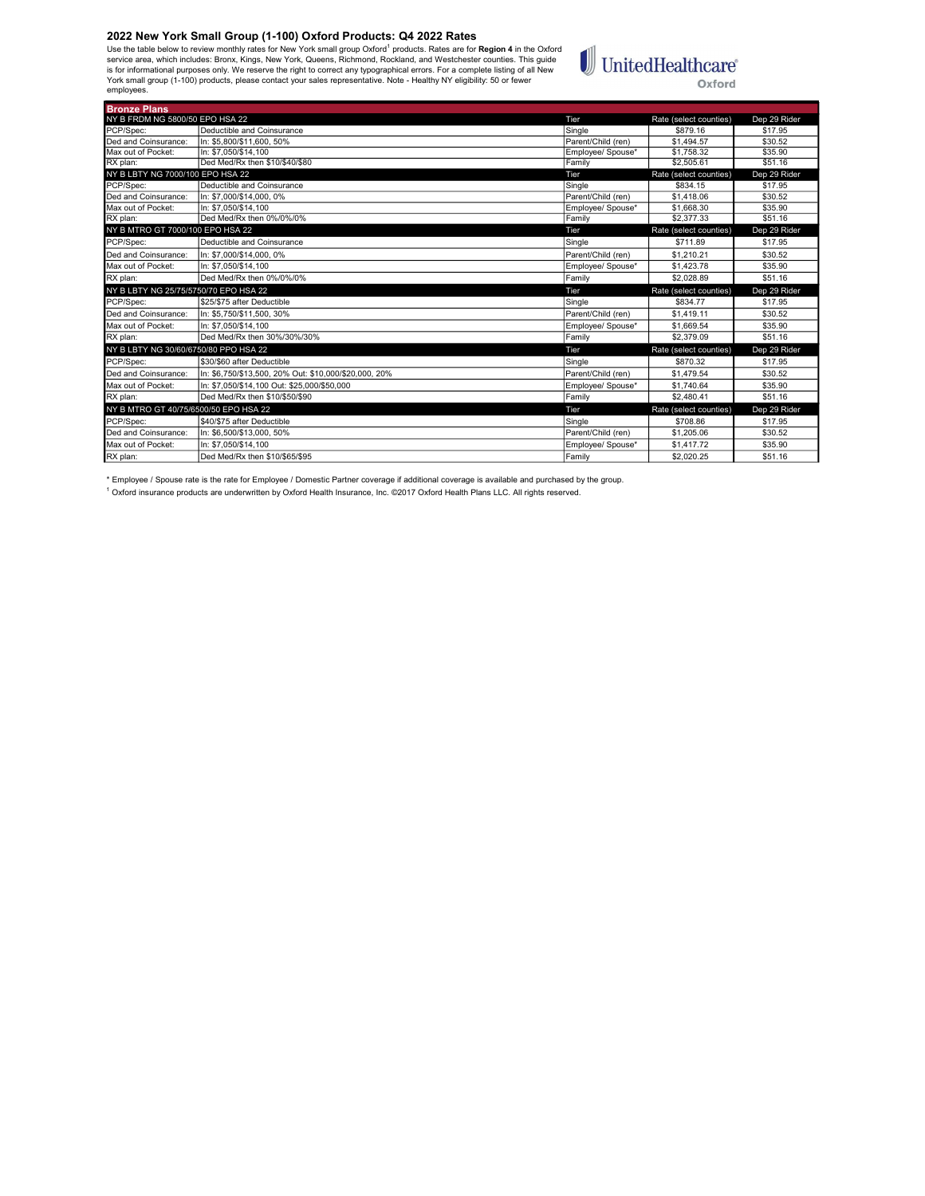Use the table below to review monthly rates for New York small group Oxford<sup>1</sup> products. Rates are for **Region 4** in the Oxford<br>is rorice area, which includes: Bronx, Kings, New York, Queens, Richmond, Rockland, and Westch employees.

# $\textcolor{red}{\textbf{1}}\hspace{-2.5pt}\text{UnitedHealthcare}^*$ Oxford

| <b>Bronze Plans</b>                   |                                                       |                    |                        |              |
|---------------------------------------|-------------------------------------------------------|--------------------|------------------------|--------------|
| NY B FRDM NG 5800/50 EPO HSA 22       |                                                       | Tier               | Rate (select counties) | Dep 29 Rider |
| PCP/Spec:                             | Deductible and Coinsurance                            | Single             | \$879.16               | \$17.95      |
| Ded and Coinsurance:                  | In: \$5.800/\$11.600, 50%                             | Parent/Child (ren) | \$1,494.57             | \$30.52      |
| Max out of Pocket:                    | In: \$7.050/\$14.100                                  | Employee/ Spouse*  | \$1,758.32             | \$35.90      |
| RX plan:                              | Ded Med/Rx then \$10/\$40/\$80                        | Family             | \$2,505.61             | \$51.16      |
| NY B LBTY NG 7000/100 EPO HSA 22      |                                                       | Tier               | Rate (select counties) | Dep 29 Rider |
| PCP/Spec:                             | Deductible and Coinsurance                            | Single             | \$834.15               | \$17.95      |
| Ded and Coinsurance:                  | In: \$7.000/\$14.000, 0%                              | Parent/Child (ren) | \$1,418.06             | \$30.52      |
| Max out of Pocket:                    | In: \$7.050/\$14.100                                  | Employee/ Spouse*  | \$1,668.30             | \$35.90      |
| RX plan:                              | Ded Med/Rx then 0%/0%/0%                              | Family             | \$2,377.33             | \$51.16      |
| NY B MTRO GT 7000/100 EPO HSA 22      |                                                       | Tier               | Rate (select counties) | Dep 29 Rider |
| PCP/Spec:                             | Deductible and Coinsurance                            | Single             | \$711.89               | \$17.95      |
| Ded and Coinsurance:                  | In: \$7.000/\$14.000.0%                               | Parent/Child (ren) | \$1,210.21             | \$30.52      |
| Max out of Pocket:                    | In: \$7.050/\$14.100                                  | Employee/ Spouse*  | \$1,423.78             | \$35.90      |
| RX plan:                              | Ded Med/Rx then 0%/0%/0%                              | Family             | \$2.028.89             | \$51.16      |
| NY B LBTY NG 25/75/5750/70 EPO HSA 22 |                                                       | Tier               | Rate (select counties) | Dep 29 Rider |
| PCP/Spec:                             | \$25/\$75 after Deductible                            | Single             | \$834.77               | \$17.95      |
| Ded and Coinsurance:                  | In: \$5.750/\$11.500. 30%                             | Parent/Child (ren) | \$1.419.11             | \$30.52      |
| Max out of Pocket:                    | In: \$7.050/\$14.100                                  | Employee/ Spouse*  | \$1,669.54             | \$35.90      |
| RX plan:                              | Ded Med/Rx then 30%/30%/30%                           | Family             | \$2.379.09             | \$51.16      |
| NY B LBTY NG 30/60/6750/80 PPO HSA 22 |                                                       | Tier               | Rate (select counties) | Dep 29 Rider |
| PCP/Spec:                             | \$30/\$60 after Deductible                            | Single             | \$870.32               | \$17.95      |
| Ded and Coinsurance:                  | In: \$6.750/\$13.500. 20% Out: \$10.000/\$20.000. 20% | Parent/Child (ren) | \$1.479.54             | \$30.52      |
| Max out of Pocket:                    | In: \$7.050/\$14.100 Out: \$25.000/\$50.000           | Employee/ Spouse*  | \$1,740.64             | \$35.90      |
| RX plan:                              | Ded Med/Rx then \$10/\$50/\$90                        | Family             | \$2,480.41             | \$51.16      |
| NY B MTRO GT 40/75/6500/50 EPO HSA 22 |                                                       | Tier               | Rate (select counties) | Dep 29 Rider |
| PCP/Spec:                             | \$40/\$75 after Deductible                            | Single             | \$708.86               | \$17.95      |
| Ded and Coinsurance:                  | In: \$6.500/\$13.000. 50%                             | Parent/Child (ren) | \$1,205.06             | \$30.52      |
| Max out of Pocket:                    | In: \$7.050/\$14.100                                  | Emplovee/ Spouse*  | \$1,417.72             | \$35.90      |
| RX plan:                              | Ded Med/Rx then \$10/\$65/\$95                        | Family             | \$2.020.25             | \$51.16      |

\* Employee / Spouse rate is the rate for Employee / Domestic Partner coverage if additional coverage is available and purchased by the group.<br><sup>1</sup> Oxford insurance products are underwritten by Oxford Health Insurance, Inc.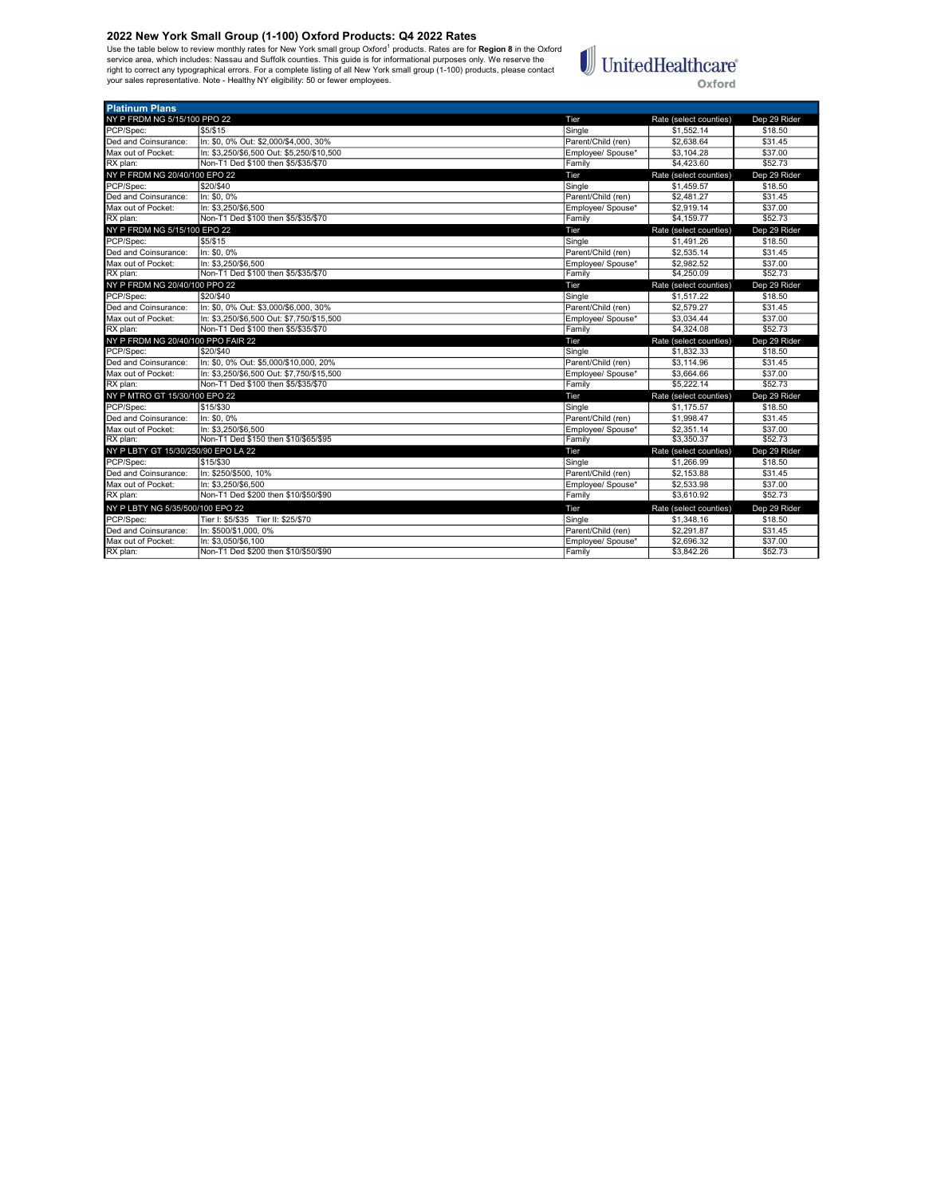Platinum Plans

Use the table below to review monthly rates for New York small group Oxford<sup>1</sup> products. Rates are for **Region 8** in the Oxford<br>service area, which includes: Nassau and Suffolk counties. This guide is for informational pur



| NY P FRDM NG 5/15/100 PPO 22        |                                           | Tier               | Rate (select counties) | Dep 29 Rider |
|-------------------------------------|-------------------------------------------|--------------------|------------------------|--------------|
| PCP/Spec:                           | \$5/\$15                                  | Single             | \$1,552.14             | \$18.50      |
| Ded and Coinsurance:                | In: \$0, 0% Out: \$2,000/\$4,000, 30%     | Parent/Child (ren) | \$2,638.64             | \$31.45      |
| Max out of Pocket:                  | In: \$3,250/\$6,500 Out: \$5,250/\$10,500 | Employee/ Spouse*  | \$3,104.28             | \$37.00      |
| RX plan:                            | Non-T1 Ded \$100 then \$5/\$35/\$70       | Family             | \$4,423.60             | \$52.73      |
| NY P FRDM NG 20/40/100 EPO 22       |                                           | Tier               | Rate (select counties) | Dep 29 Rider |
| PCP/Spec:                           | \$20/\$40                                 | Single             | \$1.459.57             | \$18.50      |
| Ded and Coinsurance:                | In: \$0.0%                                | Parent/Child (ren) | \$2,481.27             | \$31.45      |
| Max out of Pocket:                  | In: \$3.250/\$6.500                       | Emplovee/ Spouse*  | \$2.919.14             | \$37.00      |
| RX plan:                            | Non-T1 Ded \$100 then \$5/\$35/\$70       | Family             | \$4,159.77             | \$52.73      |
| NY P FRDM NG 5/15/100 EPO 22        |                                           | Tier               | Rate (select counties) | Dep 29 Rider |
| PCP/Spec:                           | \$5/\$15                                  | Single             | \$1,491.26             | \$18.50      |
| Ded and Coinsurance:                | In: \$0, 0%                               | Parent/Child (ren) | \$2,535.14             | \$31.45      |
| Max out of Pocket:                  | In: \$3,250/\$6,500                       | Employee/ Spouse*  | \$2,982.52             | \$37.00      |
| RX plan:                            | Non-T1 Ded \$100 then \$5/\$35/\$70       | Family             | \$4,250.09             | \$52.73      |
| NY P FRDM NG 20/40/100 PPO 22       |                                           | Tier               | Rate (select counties) | Dep 29 Rider |
| PCP/Spec:                           | \$20/\$40                                 | Single             | \$1.517.22             | \$18.50      |
| Ded and Coinsurance:                | In: \$0, 0% Out: \$3,000/\$6,000, 30%     | Parent/Child (ren) | \$2,579.27             | \$31.45      |
| Max out of Pocket:                  | In: \$3.250/\$6.500 Out: \$7.750/\$15.500 | Employee/ Spouse*  | \$3,034.44             | \$37.00      |
| RX plan:                            | Non-T1 Ded \$100 then \$5/\$35/\$70       | Family             | \$4,324.08             | \$52.73      |
| NY P FRDM NG 20/40/100 PPO FAIR 22  |                                           | Tier               | Rate (select counties) | Dep 29 Rider |
| PCP/Spec:                           | \$20/\$40                                 | Single             | \$1,832.33             | \$18.50      |
| Ded and Coinsurance:                | In: \$0, 0% Out: \$5,000/\$10,000, 20%    | Parent/Child (ren) | \$3,114.96             | \$31.45      |
| Max out of Pocket:                  | In: \$3,250/\$6,500 Out: \$7,750/\$15,500 | Employee/ Spouse*  | \$3,664.66             | \$37.00      |
| RX plan:                            | Non-T1 Ded \$100 then \$5/\$35/\$70       | Family             | \$5,222.14             | \$52.73      |
| NY P MTRO GT 15/30/100 EPO 22       |                                           | Tier               | Rate (select counties) | Dep 29 Rider |
| PCP/Spec:                           | \$15/\$30                                 | Single             | \$1,175.57             | \$18.50      |
| Ded and Coinsurance:                | In: \$0.0%                                | Parent/Child (ren) | \$1,998.47             | \$31.45      |
| Max out of Pocket:                  | In: \$3.250/\$6.500                       | Employee/ Spouse*  | \$2,351.14             | \$37.00      |
| RX plan:                            | Non-T1 Ded \$150 then \$10/\$65/\$95      | Family             | \$3,350.37             | \$52.73      |
| NY P LBTY GT 15/30/250/90 EPO LA 22 |                                           | Tier               | Rate (select counties) | Dep 29 Rider |
| PCP/Spec:                           | \$15/\$30                                 | Single             | \$1,266.99             | \$18.50      |
| Ded and Coinsurance:                | In: \$250/\$500, 10%                      | Parent/Child (ren) | \$2,153.88             | \$31.45      |
| Max out of Pocket:                  | In: \$3.250/\$6.500                       | Employee/ Spouse*  | \$2,533.98             | \$37.00      |
| RX plan:                            | Non-T1 Ded \$200 then \$10/\$50/\$90      | Family             | \$3,610.92             | \$52.73      |
| NY P LBTY NG 5/35/500/100 EPO 22    |                                           | Tier               | Rate (select counties) | Dep 29 Rider |
| PCP/Spec:                           | Tier I: \$5/\$35 Tier II: \$25/\$70       | Single             | \$1,348.16             | \$18.50      |
| Ded and Coinsurance:                | In: \$500/\$1,000, 0%                     | Parent/Child (ren) | \$2,291.87             | \$31.45      |
| Max out of Pocket:                  | In: \$3.050/\$6.100                       | Employee/ Spouse*  | \$2,696.32             | \$37.00      |
| RX plan:                            | Non-T1 Ded \$200 then \$10/\$50/\$90      | Family             | \$3,842.26             | \$52.73      |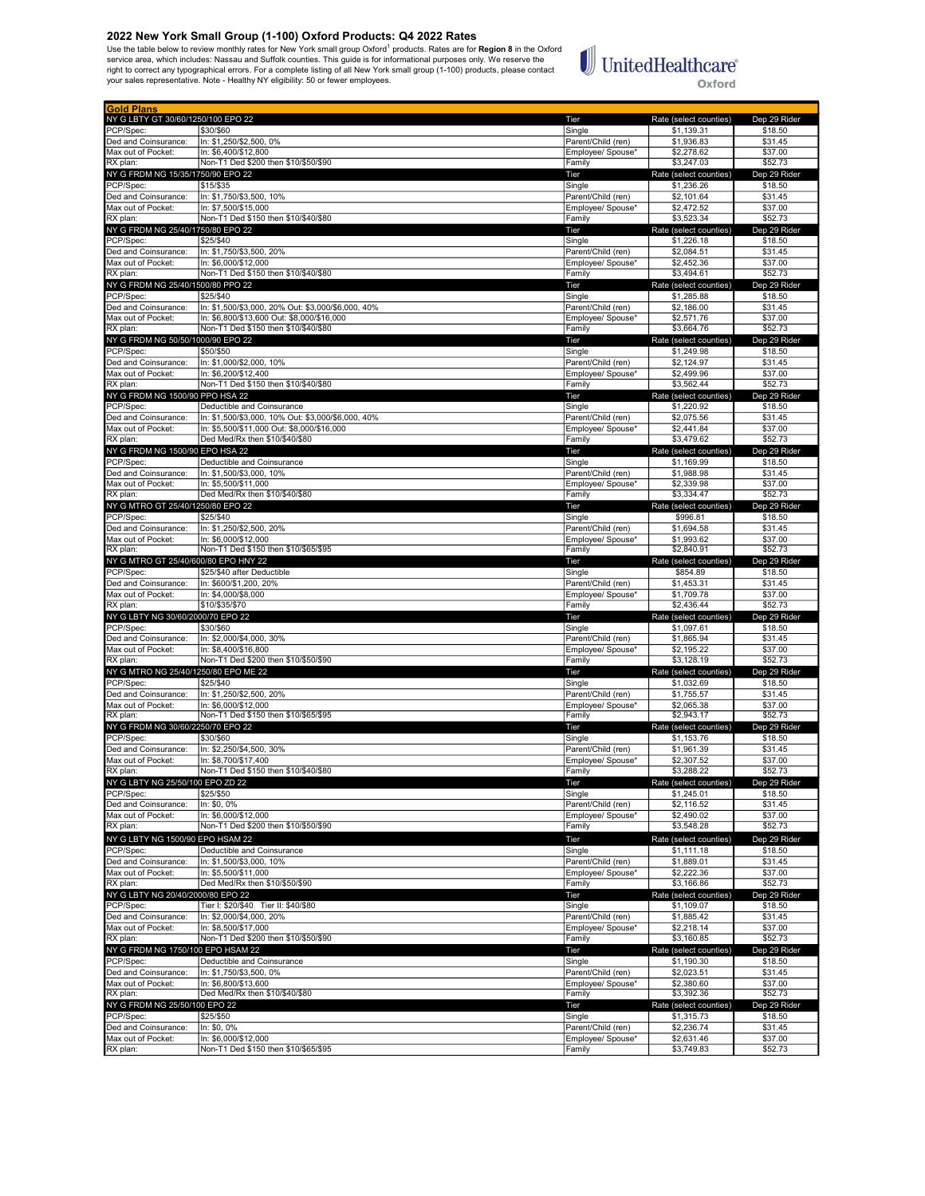2022 New York Small Group (1-100) Oxford Products: Q4 2022 Rates<br>Use the table below to review monthly rates for New York small group Oxford<sup>1</sup> products. Rates are for Region 8 in the Oxford<br>service area, which includes: N

# $\begin{tabular}{|c|c|} \hline \multicolumn{3}{|c|}{\textbf{UnitedHealthcare}}\\ \hline \end{tabular}$ Oxford

| <b>Gold Plans</b>                                 |                                                                                  |                                         |                                      |                         |
|---------------------------------------------------|----------------------------------------------------------------------------------|-----------------------------------------|--------------------------------------|-------------------------|
| NY G LBTY GT 30/60/1250/100 EPO 22                |                                                                                  | Tier                                    | Rate (select counties)               | Dep 29 Rider            |
| PCP/Spec:<br>Ded and Coinsurance:                 | \$30/\$60<br>In: \$1,250/\$2,500, 0%                                             | Single<br>Parent/Child (ren)            | \$1,139.31<br>\$1,936.83             | \$18.50<br>\$31.45      |
| Max out of Pocket:                                | In: \$6,400/\$12,800                                                             | Employee/ Spouse*                       | \$2,278.62                           | \$37.00                 |
| RX plan:                                          | Non-T1 Ded \$200 then \$10/\$50/\$90                                             | Family                                  | \$3,247.03                           | \$52.73                 |
| NY G FRDM NG 15/35/1750/90 EPO 22                 |                                                                                  | Tier                                    | Rate (select counties)               | Dep 29 Rider            |
| PCP/Spec:<br>Ded and Coinsurance:                 | \$15/\$35<br>In: \$1.750/\$3.500, 10%                                            | Single<br>Parent/Child (ren)            | \$1,236.26<br>\$2,101.64             | \$18.50<br>\$31.45      |
| Max out of Pocket:                                | In: \$7.500/\$15.000                                                             | Employee/ Spouse*                       | \$2,472.52                           | \$37.00                 |
| RX plan:                                          | Non-T1 Ded \$150 then \$10/\$40/\$80                                             | Family                                  | \$3,523.34                           | \$52.73                 |
| NY G FRDM NG 25/40/1750/80 EPO 22                 |                                                                                  | Tier                                    | Rate (select counties)               | Dep 29 Rider            |
| PCP/Spec:<br>Ded and Coinsurance:                 | \$25/\$40<br>In: \$1,750/\$3,500, 20%                                            | Single<br>Parent/Child (ren)            | \$1,226.18<br>\$2.084.51             | \$18.50<br>\$31.45      |
| Max out of Pocket:                                | In: \$6,000/\$12,000                                                             | Employee/ Spouse*                       | \$2,452.36                           | \$37.00                 |
| RX plan:                                          | Non-T1 Ded \$150 then \$10/\$40/\$80                                             | Family                                  | \$3,494.61                           | \$52.73                 |
| NY G FRDM NG 25/40/1500/80 PPO 22                 | \$25/\$40                                                                        | Tier                                    | Rate (select counties)               | Dep 29 Rider            |
| PCP/Spec:<br>Ded and Coinsurance:                 | In: \$1,500/\$3,000, 20% Out: \$3,000/\$6,000, 40%                               | Single<br>Parent/Child (ren)            | \$1,285.88<br>\$2,186.00             | \$18.50<br>\$31.45      |
| Max out of Pocket:                                | In: \$6,800/\$13,600 Out: \$8,000/\$16,000                                       | Employee/ Spouse*                       | \$2,571.76                           | \$37.00                 |
| RX plan:                                          | Non-T1 Ded \$150 then \$10/\$40/\$80                                             | Family                                  | \$3,664.76                           | \$52.73                 |
| NY G FRDM NG 50/50/1000/90 EPO 22<br>PCP/Spec:    | \$50/\$50                                                                        | Tier                                    | Rate (select counties)<br>\$1,249.98 | Dep 29 Rider<br>\$18.50 |
| Ded and Coinsurance:                              | In: \$1,000/\$2,000, 10%                                                         | Single<br>Parent/Child (ren)            | \$2,124.97                           | \$31.45                 |
| Max out of Pocket:                                | In: \$6,200/\$12,400                                                             | Employee/ Spouse*                       | \$2,499.96                           | \$37.00                 |
| RX plan:                                          | Non-T1 Ded \$150 then \$10/\$40/\$80                                             | Family                                  | \$3,562.44                           | \$52.73                 |
| NY G FRDM NG 1500/90 PPO HSA 22<br>PCP/Spec:      |                                                                                  | Tier                                    | Rate (select counties)               | Dep 29 Rider            |
| Ded and Coinsurance:                              | Deductible and Coinsurance<br>In: \$1,500/\$3,000, 10% Out: \$3,000/\$6,000, 40% | Single<br>Parent/Child (ren)            | \$1,220.92<br>\$2,075.56             | \$18.50<br>\$31.45      |
| Max out of Pocket:                                | In: \$5,500/\$11,000 Out: \$8,000/\$16,000                                       | Employee/ Spouse*                       | \$2,441.84                           | \$37.00                 |
| RX plan:                                          | Ded Med/Rx then \$10/\$40/\$80                                                   | Family                                  | \$3,479.62                           | \$52.73                 |
| NY G FRDM NG 1500/90 EPO HSA 22<br>PCP/Spec:      |                                                                                  | Tier<br>Single                          | Rate (select counties)               | Dep 29 Rider<br>\$18.50 |
| Ded and Coinsurance:                              | Deductible and Coinsurance<br>In: \$1,500/\$3,000, 10%                           | Parent/Child (ren)                      | \$1,169.99<br>\$1,988.98             | \$31.45                 |
| Max out of Pocket:                                | In: \$5.500/\$11.000                                                             | Employee/ Spouse*                       | \$2,339.98                           | \$37.00                 |
| RX plan:                                          | Ded Med/Rx then \$10/\$40/\$80                                                   | Family                                  | \$3,334.47                           | \$52.73                 |
| NY G MTRO GT 25/40/1250/80 EPO 22<br>PCP/Spec:    | \$25/\$40                                                                        | Tier<br>Single                          | Rate (select counties)<br>\$996.81   | Dep 29 Rider<br>\$18.50 |
| Ded and Coinsurance:                              | In: \$1,250/\$2,500, 20%                                                         | Parent/Child (ren)                      | \$1,694.58                           | \$31.45                 |
| Max out of Pocket:                                | In: \$6,000/\$12,000                                                             | Employee/ Spouse*                       | \$1,993.62                           | \$37.00                 |
| RX plan:                                          | Non-T1 Ded \$150 then \$10/\$65/\$95                                             | Family                                  | \$2,840.91                           | \$52.73                 |
| NY G MTRO GT 25/40/600/80 EPO HNY 22<br>PCP/Spec: | \$25/\$40 after Deductible                                                       | Tier<br>Single                          | Rate (select counties)<br>\$854.89   | Dep 29 Rider<br>\$18.50 |
| Ded and Coinsurance:                              | In: \$600/\$1,200, 20%                                                           | Parent/Child (ren)                      | \$1,453.31                           | \$31.45                 |
| Max out of Pocket:                                | In: \$4,000/\$8,000                                                              | Employee/ Spouse*                       | \$1,709.78                           | \$37.00                 |
| RX plan:                                          | \$10/\$35/\$70                                                                   | Family                                  | \$2,436.44                           | \$52.73                 |
| NY G LBTY NG 30/60/2000/70 EPO 22<br>PCP/Spec:    | \$30/\$60                                                                        | Tier<br>Single                          | Rate (select counties)<br>\$1,097.61 | Dep 29 Rider<br>\$18.50 |
| Ded and Coinsurance:                              | In: \$2,000/\$4,000, 30%                                                         | Parent/Child (ren)                      | \$1,865.94                           | \$31.45                 |
| Max out of Pocket:                                | In: \$8,400/\$16,800                                                             | Employee/ Spouse*                       | \$2,195.22                           | \$37.00                 |
| RX plan:<br>NY G MTRO NG 25/40/1250/80 EPO ME 22  | Non-T1 Ded \$200 then \$10/\$50/\$90                                             | Family<br>Tier                          | \$3,128.19<br>Rate (select counties) | \$52.73<br>Dep 29 Rider |
| PCP/Spec:                                         | \$25/\$40                                                                        | Single                                  | \$1,032.69                           | \$18.50                 |
| Ded and Coinsurance:                              | In: \$1,250/\$2,500, 20%                                                         | Parent/Child (ren)                      | \$1,755.57                           | \$31.45                 |
| Max out of Pocket:                                | In: \$6,000/\$12,000                                                             | Employee/ Spouse*                       | \$2,065.38                           | \$37.00                 |
| RX plan:<br>NY G FRDM NG 30/60/2250/70 EPO 22     | Non-T1 Ded \$150 then \$10/\$65/\$95                                             | Family<br>Tier                          | \$2,943.17<br>Rate (select counties) | \$52.73<br>Dep 29 Rider |
| PCP/Spec:                                         | \$30/\$60                                                                        | Single                                  | \$1,153.76                           | \$18.50                 |
| Ded and Coinsurance:                              | In: \$2,250/\$4,500, 30%                                                         | Parent/Child (ren)                      | \$1,961.39                           | \$31.45                 |
| Max out of Pocket:                                | In: \$8,700/\$17,400                                                             | Employee/ Spouse*                       | \$2,307.52                           | \$37.00                 |
| RX plan:                                          | Non-T1 Ded \$150 then \$10/\$40/\$80                                             | Family<br>ler                           | \$3,288.22                           | \$52.73                 |
| NY G LBTY NG 25/50/100 EPO ZD 22<br>PCP/Spec:     | \$25/\$50                                                                        | Single                                  | Rate (select counties)<br>\$1,245.01 | Dep 29 Rider<br>\$18.50 |
| Ded and Coinsurance:                              | In: \$0, 0%                                                                      | Parent/Child (ren)                      | \$2,116.52                           | \$31.45                 |
| Max out of Pocket:<br>RX plan:                    | In: \$6,000/\$12,000                                                             | Employee/ Spouse*                       | \$2,490.02                           | \$37.00                 |
|                                                   | Non-T1 Ded \$200 then \$10/\$50/\$90                                             | Family                                  | \$3,548.28                           | \$52.73                 |
| NY G LBTY NG 1500/90 EPO HSAM 22<br>PCP/Spec:     | Deductible and Coinsurance                                                       | Tier<br>Single                          | Rate (select counties)<br>\$1,111.18 | Dep 29 Rider<br>\$18.50 |
| Ded and Coinsurance:                              | In: \$1,500/\$3,000, 10%                                                         | Parent/Child (ren)                      | \$1,889.01                           | \$31.45                 |
| Max out of Pocket:                                | In: \$5,500/\$11,000                                                             | Employee/ Spouse*                       | \$2,222.36                           | \$37.00                 |
| RX plan:<br>NY G LBTY NG 20/40/2000/80 EPO 22     | Ded Med/Rx then \$10/\$50/\$90                                                   | Family<br>Tier                          | \$3,166.86<br>Rate (select counties) | \$52.73<br>Dep 29 Rider |
| PCP/Spec:                                         | Tier I: \$20/\$40 Tier II: \$40/\$80                                             | Single                                  | \$1,109.07                           | \$18.50                 |
| Ded and Coinsurance:                              | In: \$2.000/\$4.000, 20%                                                         | Parent/Child (ren)                      | \$1,885.42                           | \$31.45                 |
| Max out of Pocket:                                | In: \$8,500/\$17,000                                                             | Employee/ Spouse*                       | \$2,218.14<br>\$3,160.85             | \$37.00                 |
| RX plan:<br>NY G FRDM NG 1750/100 EPO HSAM 22     | Non-T1 Ded \$200 then \$10/\$50/\$90                                             | Family<br>Tier                          | Rate (select counties)               | \$52.73<br>Dep 29 Rider |
| PCP/Spec:                                         | Deductible and Coinsurance                                                       | Single                                  | \$1,190.30                           | \$18.50                 |
| Ded and Coinsurance:                              | In: \$1,750/\$3,500, 0%                                                          | Parent/Child (ren)                      | \$2,023.51                           | \$31.45                 |
| Max out of Pocket:                                | In: \$6,800/\$13,600                                                             | Employee/ Spouse*                       | \$2,380.60<br>\$3,392.36             | \$37.00                 |
| RX plan:<br>NY G FRDM NG 25/50/100 EPO 22         | Ded Med/Rx then \$10/\$40/\$80                                                   | Family<br>Tier                          | Rate (select counties)               | \$52.73<br>Dep 29 Rider |
| PCP/Spec:                                         | \$25/\$50                                                                        | Single                                  | \$1,315.73                           | \$18.50                 |
|                                                   |                                                                                  |                                         |                                      |                         |
| Ded and Coinsurance:<br>Max out of Pocket:        | In: \$0, 0%<br>In: \$6,000/\$12,000                                              | Parent/Child (ren)<br>Employee/ Spouse* | \$2,236.74<br>\$2,631.46             | \$31.45<br>\$37.00      |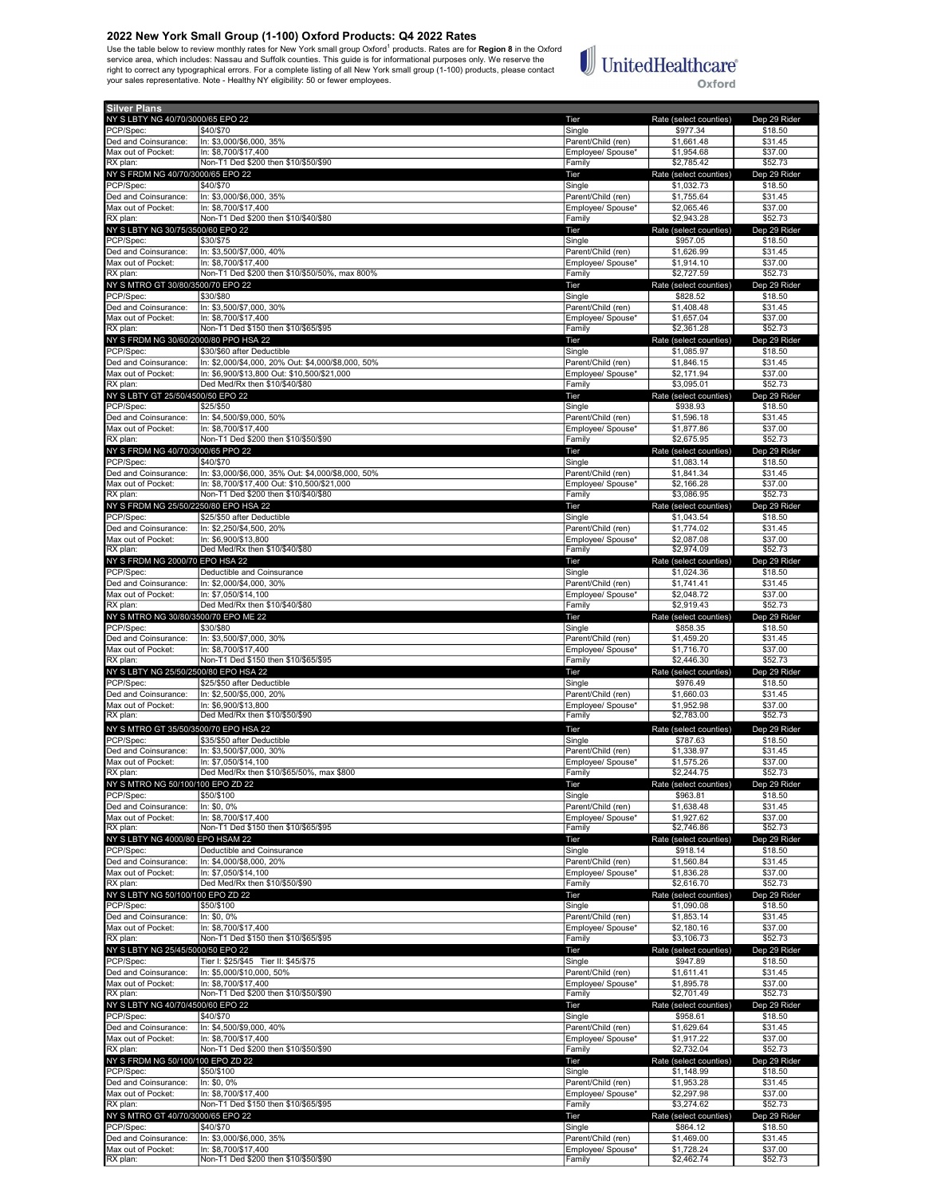2022 New York Small Group (1-100) Oxford Products: Q4 2022 Rates<br>Use the table below to review monthly rates for New York small group Oxford<sup>1</sup> products. Rates are for Region 8 in the Oxford<br>service area, which includes: N



Oxford

| <b>Silver Plans</b>                            |                                                                                  |                              |                                      |                         |
|------------------------------------------------|----------------------------------------------------------------------------------|------------------------------|--------------------------------------|-------------------------|
| NY S LBTY NG 40/70/3000/65 EPO 22              |                                                                                  | Tier                         | Rate (select counties)               | Dep 29 Rider            |
| PCP/Spec:                                      | \$40/\$70                                                                        | Single                       | \$977.34                             | \$18.50                 |
| Ded and Coinsurance:                           | In: \$3,000/\$6,000, 35%                                                         | Parent/Child (ren)           | \$1,661.48                           | \$31.45                 |
| Max out of Pocket:<br>RX plan:                 | In: \$8,700/\$17,400<br>Non-T1 Ded \$200 then \$10/\$50/\$90                     | Employee/ Spouse*            | \$1,954.68<br>\$2,785.42             | \$37.00<br>\$52.73      |
| NY S FRDM NG 40/70/3000/65 EPO 22              |                                                                                  | Family<br>Tier               |                                      | Dep 29 Rider            |
| PCP/Spec:                                      | \$40/\$70                                                                        | Single                       | Rate (select counties)<br>\$1,032.73 | \$18.50                 |
| Ded and Coinsurance:                           | In: \$3,000/\$6,000, 35%                                                         | Parent/Child (ren)           | \$1,755.64                           | \$31.45                 |
| Max out of Pocket:                             | In: \$8,700/\$17,400                                                             | Employee/ Spouse*            | \$2,065.46                           | \$37.00                 |
| RX plan:                                       | Non-T1 Ded \$200 then \$10/\$40/\$80                                             | Family                       | \$2,943.28                           | \$52.73                 |
| NY S LBTY NG 30/75/3500/60 EPO 22              |                                                                                  | Tier                         | Rate (select counties)               | Dep 29 Rider            |
| PCP/Spec:                                      | \$30/\$75                                                                        | Single                       | \$957.05                             | \$18.50                 |
| Ded and Coinsurance:                           | In: \$3,500/\$7,000, 40%                                                         | Parent/Child (ren)           | \$1,626.99<br>\$1.914.10             | \$31.45                 |
| Max out of Pocket:<br>RX plan:                 | In: \$8.700/\$17.400<br>Non-T1 Ded \$200 then \$10/\$50/50%, max 800%            | Employee/ Spouse*<br>Family  | \$2,727.59                           | \$37.00<br>\$52.73      |
| NY S MTRO GT 30/80/3500/70 EPO 22              |                                                                                  | Tier                         | Rate (select counties)               | Dep 29 Rider            |
| PCP/Spec:                                      | \$30/\$80                                                                        | Single                       | \$828.52                             | \$18.50                 |
| Ded and Coinsurance:                           | In: \$3,500/\$7,000, 30%                                                         | Parent/Child (ren)           | \$1,408.48                           | \$31.45                 |
| Max out of Pocket:                             | In: \$8.700/\$17.400                                                             | Employee/ Spouse*            | \$1,657.04                           | \$37.00                 |
| RX plan:                                       | Non-T1 Ded \$150 then \$10/\$65/\$95                                             | Family                       | \$2,361.28                           | \$52.73                 |
| NY S FRDM NG 30/60/2000/80 PPO HSA 22          |                                                                                  | Tier                         | Rate (select counties)               | Dep 29 Rider            |
| PCP/Spec:<br>Ded and Coinsurance:              | \$30/\$60 after Deductible<br>In: \$2,000/\$4,000, 20% Out: \$4,000/\$8,000, 50% | Single<br>Parent/Child (ren) | \$1,085.97<br>\$1,846.15             | \$18.50<br>\$31.45      |
| Max out of Pocket:                             | In: \$6,900/\$13,800 Out: \$10,500/\$21,000                                      | Employee/ Spouse*            | \$2,171.94                           | \$37.00                 |
| RX plan:                                       | Ded Med/Rx then \$10/\$40/\$80                                                   | Family                       | \$3,095.01                           | \$52.73                 |
| NY S LBTY GT 25/50/4500/50 EPO 22              |                                                                                  | Tier                         | Rate (select counties)               | Dep 29 Rider            |
| PCP/Spec:                                      | \$25/\$50                                                                        | Single                       | \$938.93                             | \$18.50                 |
| Ded and Coinsurance:                           | In: \$4,500/\$9,000, 50%                                                         | Parent/Child (ren)           | \$1,596.18                           | \$31.45                 |
| Max out of Pocket:                             | In: \$8,700/\$17,400<br>Non-T1 Ded \$200 then \$10/\$50/\$90                     | Employee/ Spouse*<br>Family  | \$1,877.86<br>\$2,675.95             | \$37.00<br>\$52.73      |
| RX plan:                                       |                                                                                  |                              |                                      |                         |
| NY S FRDM NG 40/70/3000/65 PPO 22<br>PCP/Spec: | \$40/\$70                                                                        | Tier<br>Single               | Rate (select counties)<br>\$1,083.14 | Dep 29 Rider<br>\$18.50 |
| Ded and Coinsurance:                           | In: \$3,000/\$6,000, 35% Out: \$4,000/\$8,000, 50%                               | Parent/Child (ren)           | \$1,841.34                           | \$31.45                 |
| Max out of Pocket:                             | In: \$8,700/\$17,400 Out: \$10,500/\$21,000                                      | Employee/ Spouse*            | \$2,166.28                           | \$37.00                 |
| RX plan:                                       | Non-T1 Ded \$200 then \$10/\$40/\$80                                             | Family                       | \$3,086.95                           | \$52.73                 |
| NY S FRDM NG 25/50/2250/80 EPO HSA 22          |                                                                                  | Tier                         | Rate (select counties)               | Dep 29 Rider            |
| PCP/Spec:                                      | \$25/\$50 after Deductible                                                       | Single                       | $$1,043.\overline{54}$               | \$18.50                 |
| Ded and Coinsurance:                           | In: \$2,250/\$4,500, 20%                                                         | Parent/Child (ren)           | \$1,774.02                           | \$31.45                 |
| Max out of Pocket:<br>RX plan:                 | In: \$6,900/\$13,800<br>Ded Med/Rx then \$10/\$40/\$80                           | Employee/ Spouse*<br>Family  | \$2,087.08<br>\$2,974.09             | \$37.00<br>\$52.73      |
| NY S FRDM NG 2000/70 EPO HSA 22                |                                                                                  | Tier                         | Rate (select counties)               | Dep 29 Rider            |
| PCP/Spec:                                      | Deductible and Coinsurance                                                       | Single                       | \$1,024.36                           | \$18.50                 |
| Ded and Coinsurance:                           | In: \$2,000/\$4,000, 30%                                                         | Parent/Child (ren)           | \$1,741.41                           | \$31.45                 |
| Max out of Pocket:                             | In: \$7,050/\$14,100                                                             | Employee/ Spouse*            | \$2,048.72                           | \$37.00                 |
| RX plan:                                       | Ded Med/Rx then \$10/\$40/\$80                                                   | Family                       | \$2,919.43                           | \$52.73                 |
| NY S MTRO NG 30/80/3500/70 EPO ME 22           |                                                                                  | Tier                         | Rate (select counties)               | Dep 29 Rider            |
| PCP/Spec:<br>Ded and Coinsurance:              | \$30/\$80<br>In: \$3,500/\$7,000, 30%                                            | Single<br>Parent/Child (ren) | \$858.35<br>\$1,459.20               | \$18.50<br>\$31.45      |
| Max out of Pocket:                             | In: \$8,700/\$17,400                                                             | Employee/ Spouse*            | \$1,716.70                           | \$37.00                 |
| RX plan:                                       | Non-T1 Ded \$150 then \$10/\$65/\$95                                             | Family                       | \$2,446.30                           | \$52.73                 |
| NY S LBTY NG 25/50/2500/80 EPO HSA 22          |                                                                                  | Tier                         | Rate (select counties)               | Dep 29 Rider            |
| PCP/Spec:                                      | \$25/\$50 after Deductible                                                       | Single                       | \$976.49                             | \$18.50                 |
| Ded and Coinsurance:                           | In: \$2,500/\$5,000, 20%                                                         | Parent/Child (ren)           | \$1,660.03                           | \$31.45                 |
| Max out of Pocket:<br>RX plan:                 | In: \$6,900/\$13,800<br>Ded Med/Rx then \$10/\$50/\$90                           | Employee/ Spouse*<br>Family  | \$1,952.98<br>\$2,783.00             | \$37.00<br>\$52.73      |
| NY S MTRO GT 35/50/3500/70 EPO HSA 22          |                                                                                  | Tier                         | Rate (select counties)               | Dep 29 Rider            |
| PCP/Spec:                                      | \$35/\$50 after Deductible                                                       | Single                       | \$787.63                             | \$18.50                 |
| Ded and Coinsurance:                           | In: \$3,500/\$7,000, 30%                                                         | Parent/Child (ren)           | \$1,338.97                           | \$31.45                 |
| Max out of Pocket:                             | In: \$7,050/\$14,100                                                             | Employee/ Spouse*            | \$1,575.26                           | \$37.00                 |
| RX plan:                                       | Ded Med/Rx then \$10/\$65/50%, max \$800                                         | Family                       | \$2,244.75                           | \$52.73                 |
| NY S MTRO NG 50/100/100 EPO ZD 22              |                                                                                  | Tier                         | Rate (select counties)               | Dep 29 Rider            |
| PCP/Spec:<br>Ded and Coinsurance:              | \$50/\$100<br>In: \$0.0%                                                         | Single<br>Parent/Child (ren) | \$963.81<br>\$1,638.48               | \$18.50<br>\$31.45      |
| Max out of Pocket:                             | In: \$8,700/\$17,400                                                             | Employee/ Spouse*            | \$1,927.62                           | \$37.00                 |
| RX plan:                                       | Non-T1 Ded \$150 then \$10/\$65/\$95                                             | Family                       | \$2,746.86                           | \$52.73                 |
| NY S LBTY NG 4000/80 EPO HSAM 22               |                                                                                  | Tier                         | Rate (select counties)               | Dep 29 Rider            |
| PCP/Spec:                                      | Deductible and Coinsurance                                                       | Single                       | \$918.14                             | \$18.50                 |
| Ded and Coinsurance:                           | In: \$4,000/\$8,000, 20%                                                         | Parent/Child (ren)           | \$1,560.84                           | \$31.45                 |
| Max out of Pocket:<br>RX plan:                 | In: \$7,050/\$14,100<br>Ded Med/Rx then \$10/\$50/\$90                           | Employee/ Spouse*<br>Family  | \$1,836.28<br>\$2,616.70             | \$37.00<br>\$52.73      |
| NY S LBTY NG 50/100/100 EPO ZD 22              |                                                                                  | Tier                         | Rate (select counties)               | Dep 29 Rider            |
| PCP/Spec:                                      | \$50/\$100                                                                       | Single                       | \$1,090.08                           | \$18.50                 |
| Ded and Coinsurance:                           | In: \$0, 0%                                                                      | Parent/Child (ren)           | \$1,853.14                           | \$31.45                 |
| Max out of Pocket:                             | In: \$8,700/\$17,400                                                             | Employee/ Spouse*            | \$2,180.16                           | \$37.00                 |
| RX plan:                                       | Non-T1 Ded \$150 then \$10/\$65/\$95                                             | Family                       | \$3,106.73                           | \$52.73                 |
| NY S LBTY NG 25/45/5000/50 EPO 22              |                                                                                  | Tier                         | Rate (select counties)               | Dep 29 Rider            |
| PCP/Spec:<br>Ded and Coinsurance:              | Tier I: \$25/\$45 Tier II: \$45/\$75<br>In: \$5,000/\$10,000, 50%                | Single<br>Parent/Child (ren) | \$947.89<br>\$1,611.41               | \$18.50<br>\$31.45      |
| Max out of Pocket:                             | In: \$8,700/\$17,400                                                             | Employee/ Spouse*            | \$1,895.78                           | \$37.00                 |
| RX plan:                                       | Non-T1 Ded \$200 then \$10/\$50/\$90                                             | Family                       | \$2,701.49                           | \$52.73                 |
| NY S LBTY NG 40/70/4500/60 EPO 22              |                                                                                  | Tier                         | Rate (select counties)               | Dep 29 Rider            |
| PCP/Spec:                                      | \$40/\$70                                                                        | Single                       | \$958.61                             | \$18.50                 |
| Ded and Coinsurance:                           | In: \$4,500/\$9,000, 40%                                                         | Parent/Child (ren)           | \$1,629.64                           | \$31.45                 |
| Max out of Pocket:<br>RX plan:                 | In: \$8,700/\$17,400<br>Non-T1 Ded \$200 then \$10/\$50/\$90                     | Employee/ Spouse*<br>Family  | \$1,917.22<br>\$2,732.04             | \$37.00<br>\$52.73      |
| NY S FRDM NG 50/100/100 EPO ZD 22              |                                                                                  | Tier                         | Rate (select counties)               | Dep 29 Rider            |
| PCP/Spec:                                      | \$50/\$100                                                                       | Single                       | \$1,148.99                           | \$18.50                 |
| Ded and Coinsurance:                           | In: \$0, 0%                                                                      | Parent/Child (ren)           | \$1,953.28                           | \$31.45                 |
| Max out of Pocket:                             | In: \$8,700/\$17,400                                                             | Employee/ Spouse*            | \$2,297.98                           | \$37.00                 |
| RX plan:                                       | Non-T1 Ded \$150 then \$10/\$65/\$95                                             | Family                       | \$3,274.62                           | \$52.73                 |
| NY S MTRO GT 40/70/3000/65 EPO 22              |                                                                                  | Tier                         | Rate (select counties)               | Dep 29 Rider            |
| PCP/Spec:                                      | \$40/\$70                                                                        | Single                       | \$864.12                             | \$18.50                 |
| Ded and Coinsurance:                           | In: \$3,000/\$6,000, 35%                                                         | Parent/Child (ren)           | \$1,469.00                           | \$31.45                 |
| Max out of Pocket:<br>RX plan:                 | In: \$8,700/\$17,400<br>Non-T1 Ded \$200 then \$10/\$50/\$90                     | Employee/ Spouse*<br>Family  | \$1,728.24<br>\$2,462.74             | \$37.00<br>\$52.73      |